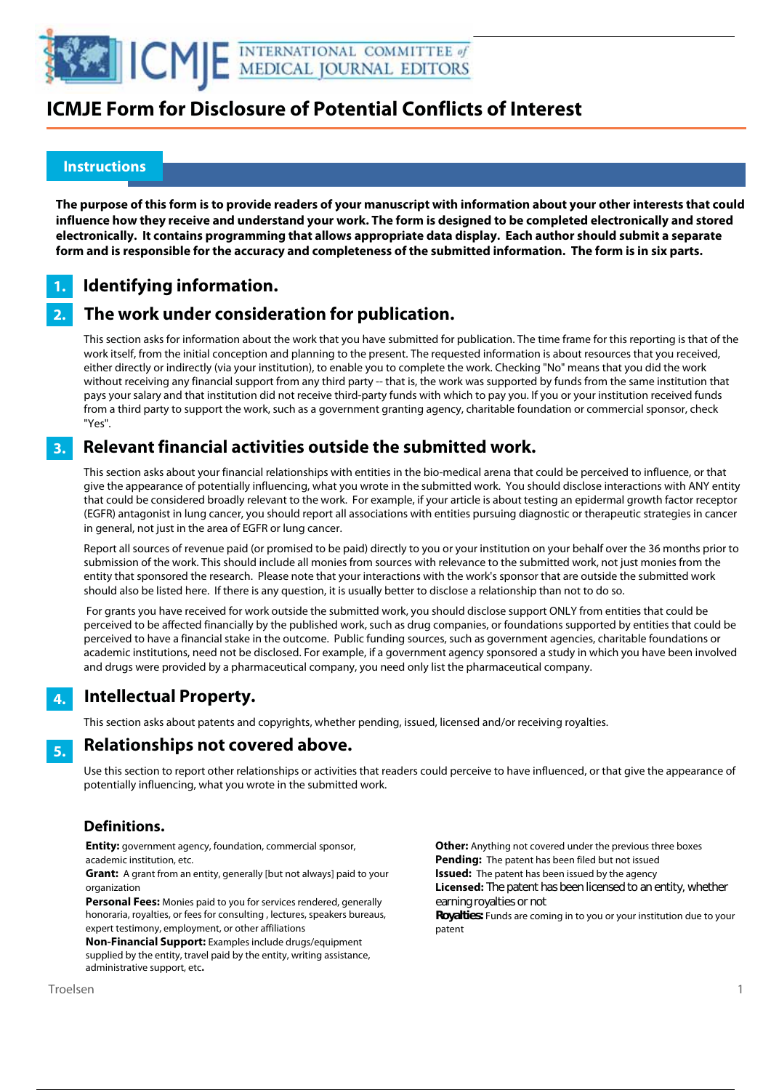

### **Instructions**

**The purpose of this form is to provide readers of your manuscript with information about your other interests that could influence how they receive and understand your work. The form is designed to be completed electronically and stored electronically. It contains programming that allows appropriate data display. Each author should submit a separate form and is responsible for the accuracy and completeness of the submitted information. The form is in six parts.** 

#### **Identifying information. 1.**

#### **The work under consideration for publication. 2.**

This section asks for information about the work that you have submitted for publication. The time frame for this reporting is that of the work itself, from the initial conception and planning to the present. The requested information is about resources that you received, either directly or indirectly (via your institution), to enable you to complete the work. Checking "No" means that you did the work without receiving any financial support from any third party -- that is, the work was supported by funds from the same institution that pays your salary and that institution did not receive third-party funds with which to pay you. If you or your institution received funds from a third party to support the work, such as a government granting agency, charitable foundation or commercial sponsor, check "Yes".

#### **Relevant financial activities outside the submitted work. 3.**

This section asks about your financial relationships with entities in the bio-medical arena that could be perceived to influence, or that give the appearance of potentially influencing, what you wrote in the submitted work. You should disclose interactions with ANY entity that could be considered broadly relevant to the work. For example, if your article is about testing an epidermal growth factor receptor (EGFR) antagonist in lung cancer, you should report all associations with entities pursuing diagnostic or therapeutic strategies in cancer in general, not just in the area of EGFR or lung cancer.

Report all sources of revenue paid (or promised to be paid) directly to you or your institution on your behalf over the 36 months prior to submission of the work. This should include all monies from sources with relevance to the submitted work, not just monies from the entity that sponsored the research. Please note that your interactions with the work's sponsor that are outside the submitted work should also be listed here. If there is any question, it is usually better to disclose a relationship than not to do so.

 For grants you have received for work outside the submitted work, you should disclose support ONLY from entities that could be perceived to be affected financially by the published work, such as drug companies, or foundations supported by entities that could be perceived to have a financial stake in the outcome. Public funding sources, such as government agencies, charitable foundations or academic institutions, need not be disclosed. For example, if a government agency sponsored a study in which you have been involved and drugs were provided by a pharmaceutical company, you need only list the pharmaceutical company.

#### **Intellectual Property. 4.**

This section asks about patents and copyrights, whether pending, issued, licensed and/or receiving royalties.

#### **Relationships not covered above. 5.**

Use this section to report other relationships or activities that readers could perceive to have influenced, or that give the appearance of potentially influencing, what you wrote in the submitted work.

### **Definitions.**

**Entity:** government agency, foundation, commercial sponsor, academic institution, etc.

**Grant:** A grant from an entity, generally [but not always] paid to your organization

**Personal Fees:** Monies paid to you for services rendered, generally honoraria, royalties, or fees for consulting , lectures, speakers bureaus, expert testimony, employment, or other affiliations

**Non-Financial Support:** Examples include drugs/equipment supplied by the entity, travel paid by the entity, writing assistance, administrative support, etc**.**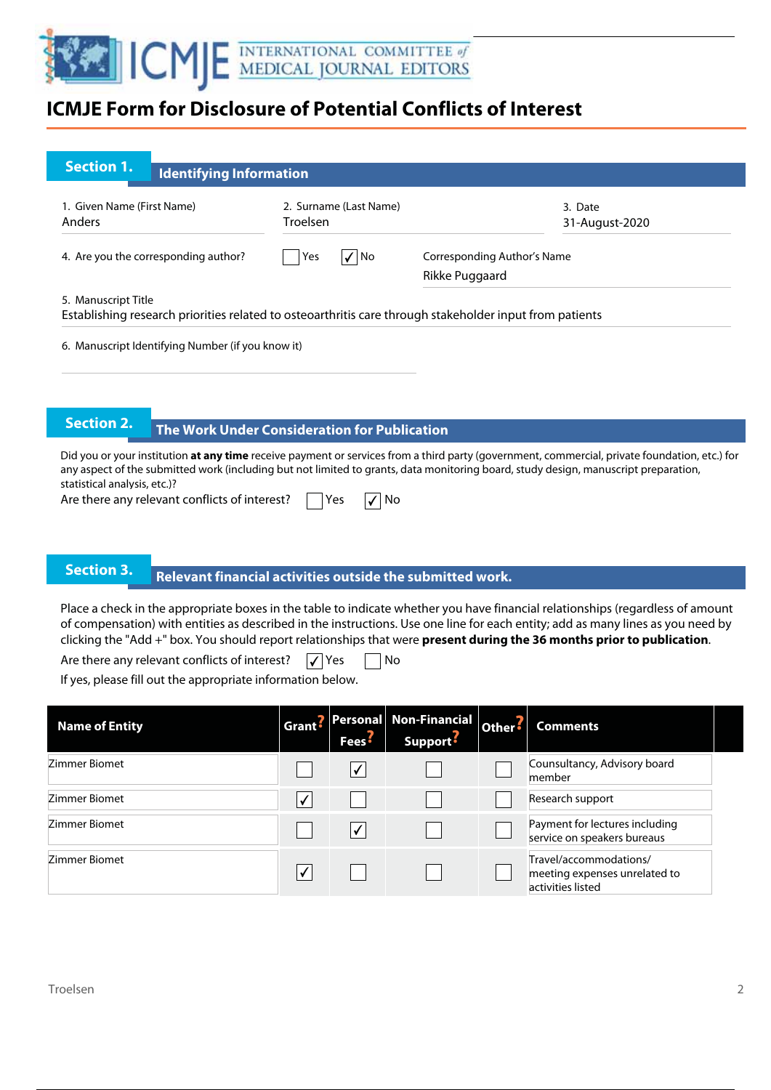

| <b>Section 1.</b>                    | <b>Identifying Information</b>                                                                                                 |                                                     |                                                                                                                                                                                                                                                                                             |  |  |  |  |
|--------------------------------------|--------------------------------------------------------------------------------------------------------------------------------|-----------------------------------------------------|---------------------------------------------------------------------------------------------------------------------------------------------------------------------------------------------------------------------------------------------------------------------------------------------|--|--|--|--|
|                                      |                                                                                                                                |                                                     |                                                                                                                                                                                                                                                                                             |  |  |  |  |
| 1. Given Name (First Name)<br>Anders |                                                                                                                                | 2. Surname (Last Name)<br><b>Troelsen</b>           | 3. Date<br>31-August-2020                                                                                                                                                                                                                                                                   |  |  |  |  |
| 4. Are you the corresponding author? |                                                                                                                                | √∣No<br>Yes                                         | Corresponding Author's Name<br>Rikke Puggaard                                                                                                                                                                                                                                               |  |  |  |  |
|                                      | 5. Manuscript Title<br>Establishing research priorities related to osteoarthritis care through stakeholder input from patients |                                                     |                                                                                                                                                                                                                                                                                             |  |  |  |  |
|                                      | 6. Manuscript Identifying Number (if you know it)                                                                              |                                                     |                                                                                                                                                                                                                                                                                             |  |  |  |  |
|                                      |                                                                                                                                |                                                     |                                                                                                                                                                                                                                                                                             |  |  |  |  |
| <b>Section 2.</b>                    |                                                                                                                                | <b>The Work Under Consideration for Publication</b> |                                                                                                                                                                                                                                                                                             |  |  |  |  |
| statistical analysis, etc.)?         |                                                                                                                                |                                                     | Did you or your institution <b>at any time</b> receive payment or services from a third party (government, commercial, private foundation, etc.) for<br>any aspect of the submitted work (including but not limited to grants, data monitoring board, study design, manuscript preparation, |  |  |  |  |

| Are there any relevant conflicts of interest?<br>$ $ Yes |  |
|----------------------------------------------------------|--|
|----------------------------------------------------------|--|

## **Relevant financial activities outside the submitted work.**

Place a check in the appropriate boxes in the table to indicate whether you have financial relationships (regardless of amount of compensation) with entities as described in the instructions. Use one line for each entity; add as many lines as you need by clicking the "Add +" box. You should report relationships that were **present during the 36 months prior to publication**.

 $\sqrt{\phantom{a}}$  No

Are there any relevant conflicts of interest?  $\Box$  Yes  $\Box$  No

If yes, please fill out the appropriate information below.

| <b>Name of Entity</b> | Grant?       | Fees <sup>:</sup> | $\left\vert \mathsf{Personal} \right\vert$ Non-Financial<br>Support <sup>:</sup> | Other | <b>Comments</b>                                                              |  |
|-----------------------|--------------|-------------------|----------------------------------------------------------------------------------|-------|------------------------------------------------------------------------------|--|
| Zimmer Biomet         |              | $\checkmark$      |                                                                                  |       | Counsultancy, Advisory board<br>member                                       |  |
| Zimmer Biomet         |              |                   |                                                                                  |       | Research support                                                             |  |
| Zimmer Biomet         |              | $\checkmark$      |                                                                                  |       | Payment for lectures including<br>service on speakers bureaus                |  |
| Zimmer Biomet         | $\checkmark$ |                   |                                                                                  |       | Travel/accommodations/<br>meeting expenses unrelated to<br>activities listed |  |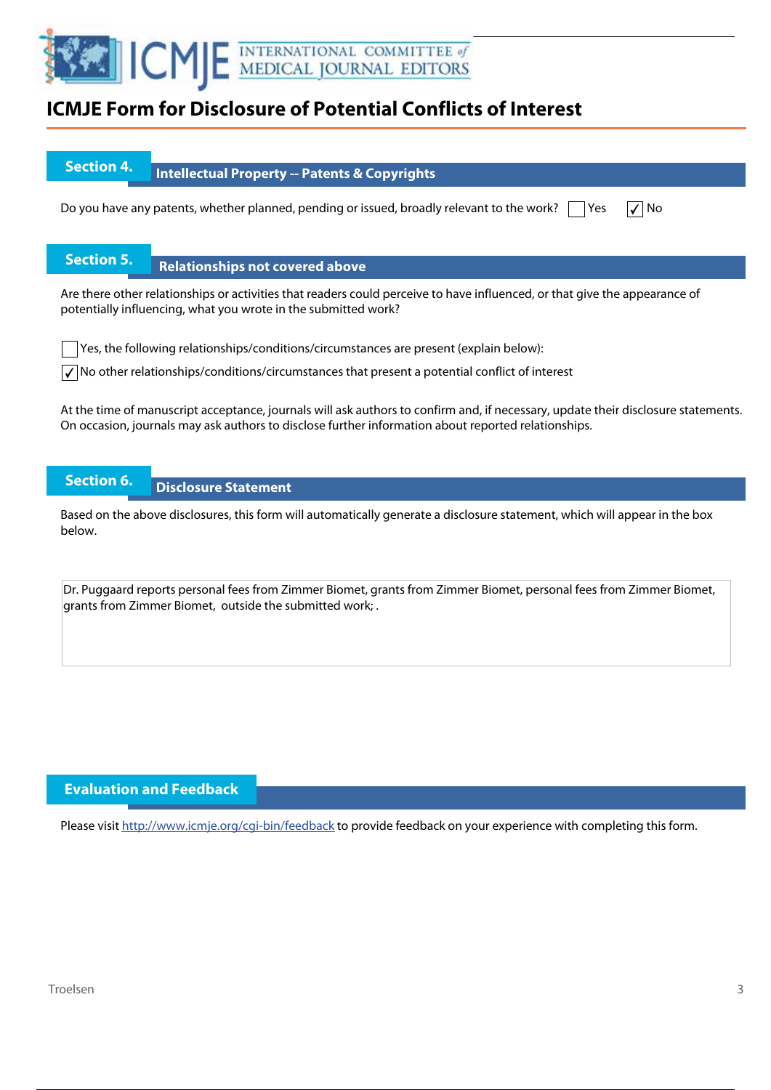

## **Intellectual Property -- Patents & Copyrights**

Do you have any patents, whether planned, pending or issued, broadly relevant to the work?  $\Box$  Yes  $\Box$  No

### **Section 5. Relationships not covered above**

Are there other relationships or activities that readers could perceive to have influenced, or that give the appearance of potentially influencing, what you wrote in the submitted work?

Yes, the following relationships/conditions/circumstances are present (explain below):

 $\sqrt{\ }$  No other relationships/conditions/circumstances that present a potential conflict of interest

At the time of manuscript acceptance, journals will ask authors to confirm and, if necessary, update their disclosure statements. On occasion, journals may ask authors to disclose further information about reported relationships.

### **Section 6. Disclosure Statement**

Based on the above disclosures, this form will automatically generate a disclosure statement, which will appear in the box below.

Dr. Puggaard reports personal fees from Zimmer Biomet, grants from Zimmer Biomet, personal fees from Zimmer Biomet, grants from Zimmer Biomet, outside the submitted work; .

### **Evaluation and Feedback**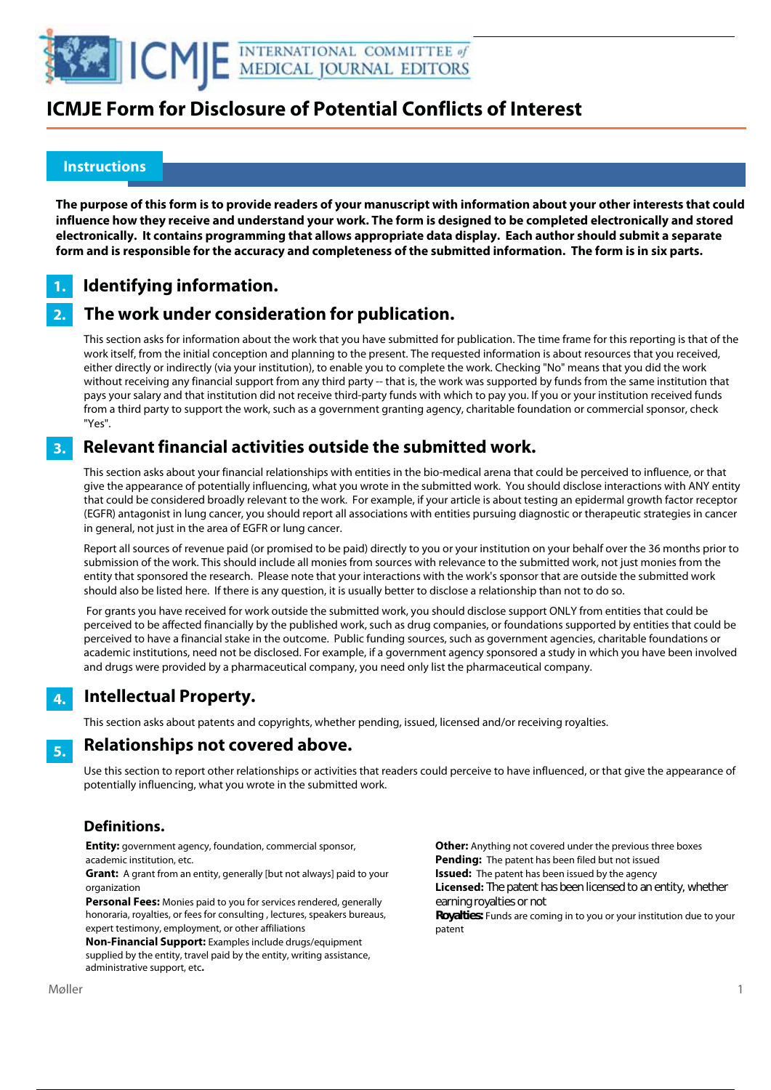

### **Instructions**

**The purpose of this form is to provide readers of your manuscript with information about your other interests that could influence how they receive and understand your work. The form is designed to be completed electronically and stored electronically. It contains programming that allows appropriate data display. Each author should submit a separate form and is responsible for the accuracy and completeness of the submitted information. The form is in six parts.** 

#### **Identifying information. 1.**

#### **The work under consideration for publication. 2.**

This section asks for information about the work that you have submitted for publication. The time frame for this reporting is that of the work itself, from the initial conception and planning to the present. The requested information is about resources that you received, either directly or indirectly (via your institution), to enable you to complete the work. Checking "No" means that you did the work without receiving any financial support from any third party -- that is, the work was supported by funds from the same institution that pays your salary and that institution did not receive third-party funds with which to pay you. If you or your institution received funds from a third party to support the work, such as a government granting agency, charitable foundation or commercial sponsor, check "Yes".

#### **Relevant financial activities outside the submitted work. 3.**

This section asks about your financial relationships with entities in the bio-medical arena that could be perceived to influence, or that give the appearance of potentially influencing, what you wrote in the submitted work. You should disclose interactions with ANY entity that could be considered broadly relevant to the work. For example, if your article is about testing an epidermal growth factor receptor (EGFR) antagonist in lung cancer, you should report all associations with entities pursuing diagnostic or therapeutic strategies in cancer in general, not just in the area of EGFR or lung cancer.

Report all sources of revenue paid (or promised to be paid) directly to you or your institution on your behalf over the 36 months prior to submission of the work. This should include all monies from sources with relevance to the submitted work, not just monies from the entity that sponsored the research. Please note that your interactions with the work's sponsor that are outside the submitted work should also be listed here. If there is any question, it is usually better to disclose a relationship than not to do so.

 For grants you have received for work outside the submitted work, you should disclose support ONLY from entities that could be perceived to be affected financially by the published work, such as drug companies, or foundations supported by entities that could be perceived to have a financial stake in the outcome. Public funding sources, such as government agencies, charitable foundations or academic institutions, need not be disclosed. For example, if a government agency sponsored a study in which you have been involved and drugs were provided by a pharmaceutical company, you need only list the pharmaceutical company.

### **Intellectual Property. 4.**

This section asks about patents and copyrights, whether pending, issued, licensed and/or receiving royalties.

#### **Relationships not covered above. 5.**

Use this section to report other relationships or activities that readers could perceive to have influenced, or that give the appearance of potentially influencing, what you wrote in the submitted work.

### **Definitions.**

**Entity:** government agency, foundation, commercial sponsor, academic institution, etc.

**Grant:** A grant from an entity, generally [but not always] paid to your organization

**Personal Fees:** Monies paid to you for services rendered, generally honoraria, royalties, or fees for consulting , lectures, speakers bureaus, expert testimony, employment, or other affiliations

**Non-Financial Support:** Examples include drugs/equipment supplied by the entity, travel paid by the entity, writing assistance, administrative support, etc**.**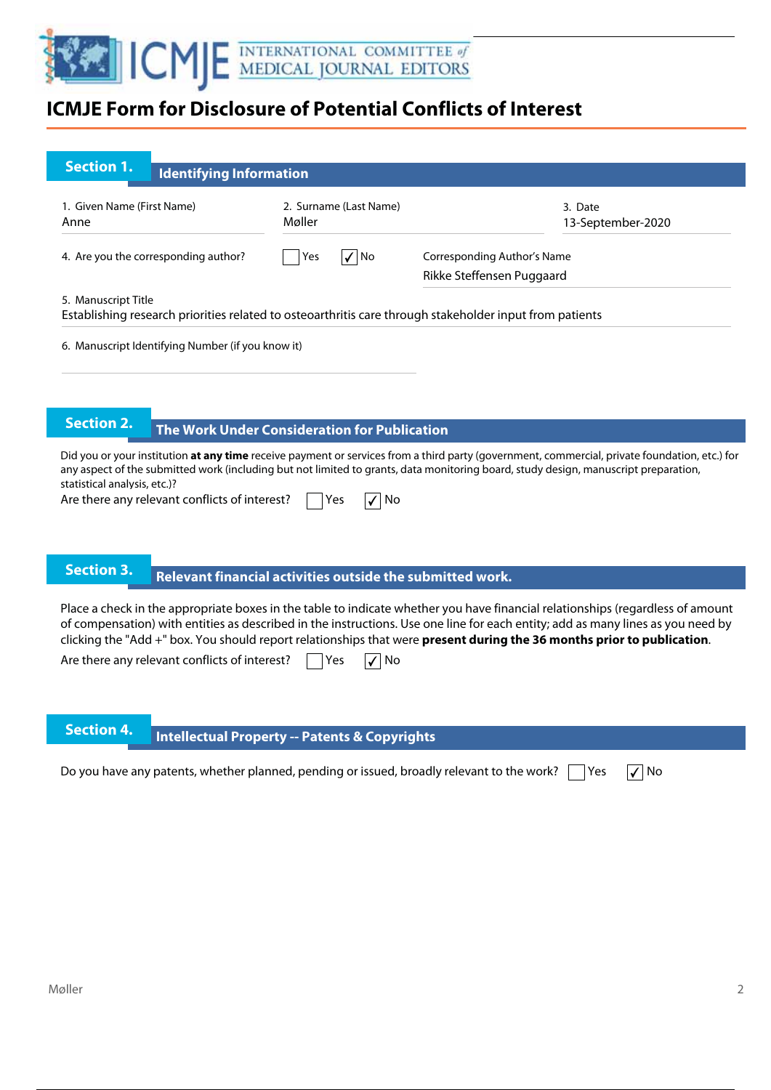

| <b>Section 1.</b>                                                                                                                                                                                                                                                                                                                                                                                                                                         | <b>Identifying Information</b>                    |                                                           |                                                                                                         |  |  |  |  |
|-----------------------------------------------------------------------------------------------------------------------------------------------------------------------------------------------------------------------------------------------------------------------------------------------------------------------------------------------------------------------------------------------------------------------------------------------------------|---------------------------------------------------|-----------------------------------------------------------|---------------------------------------------------------------------------------------------------------|--|--|--|--|
| 1. Given Name (First Name)<br>Anne                                                                                                                                                                                                                                                                                                                                                                                                                        |                                                   | 2. Surname (Last Name)<br>Møller                          | 3. Date<br>13-September-2020                                                                            |  |  |  |  |
| 4. Are you the corresponding author?                                                                                                                                                                                                                                                                                                                                                                                                                      |                                                   | Yes<br>$\sqrt{ N}$                                        | Corresponding Author's Name<br>Rikke Steffensen Puggaard                                                |  |  |  |  |
| 5. Manuscript Title                                                                                                                                                                                                                                                                                                                                                                                                                                       |                                                   |                                                           | Establishing research priorities related to osteoarthritis care through stakeholder input from patients |  |  |  |  |
|                                                                                                                                                                                                                                                                                                                                                                                                                                                           | 6. Manuscript Identifying Number (if you know it) |                                                           |                                                                                                         |  |  |  |  |
|                                                                                                                                                                                                                                                                                                                                                                                                                                                           |                                                   |                                                           |                                                                                                         |  |  |  |  |
| <b>Section 2.</b>                                                                                                                                                                                                                                                                                                                                                                                                                                         |                                                   | The Work Under Consideration for Publication              |                                                                                                         |  |  |  |  |
| Did you or your institution at any time receive payment or services from a third party (government, commercial, private foundation, etc.) for<br>any aspect of the submitted work (including but not limited to grants, data monitoring board, study design, manuscript preparation,<br>statistical analysis, etc.)?<br>Are there any relevant conflicts of interest?<br>Yes<br>No                                                                        |                                                   |                                                           |                                                                                                         |  |  |  |  |
| <b>Section 3.</b>                                                                                                                                                                                                                                                                                                                                                                                                                                         |                                                   | Relevant financial activities outside the submitted work. |                                                                                                         |  |  |  |  |
| Place a check in the appropriate boxes in the table to indicate whether you have financial relationships (regardless of amount<br>of compensation) with entities as described in the instructions. Use one line for each entity; add as many lines as you need by<br>clicking the "Add +" box. You should report relationships that were present during the 36 months prior to publication.<br>Are there any relevant conflicts of interest?<br>No<br>Yes |                                                   |                                                           |                                                                                                         |  |  |  |  |
| <b>Section 4.</b>                                                                                                                                                                                                                                                                                                                                                                                                                                         |                                                   | <b>Intellectual Property -- Patents &amp; Copyrights</b>  |                                                                                                         |  |  |  |  |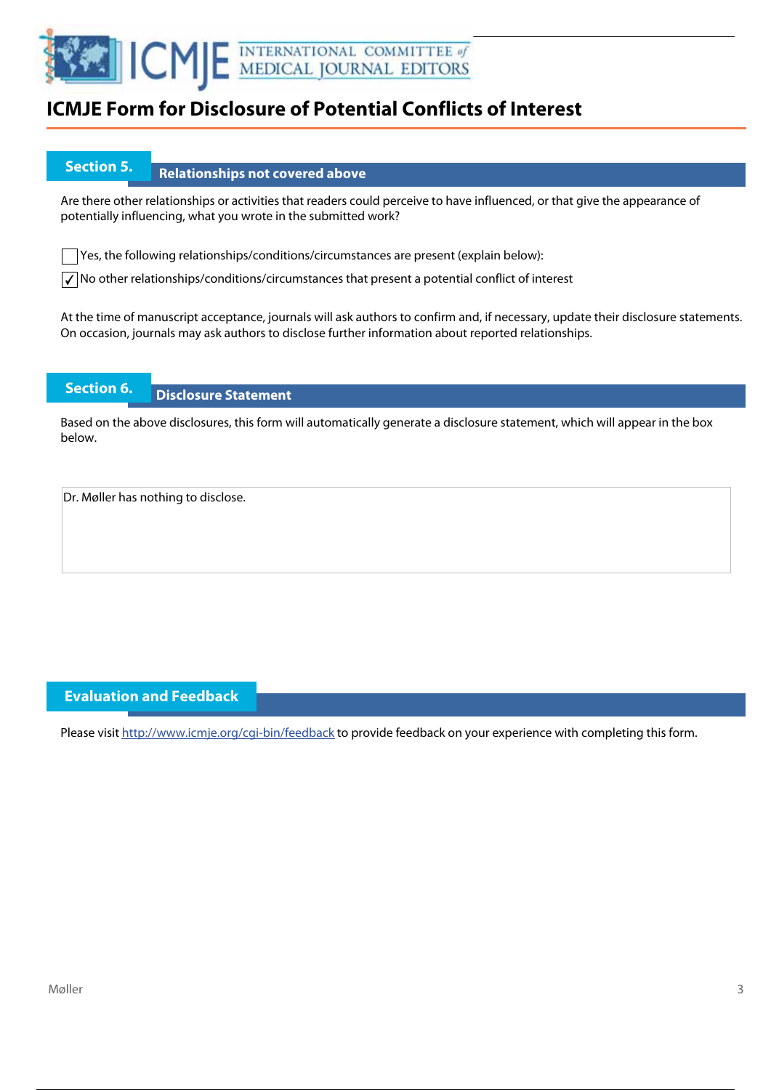

## **Section 5.** Relationships not covered above

Are there other relationships or activities that readers could perceive to have influenced, or that give the appearance of potentially influencing, what you wrote in the submitted work?

Yes, the following relationships/conditions/circumstances are present (explain below):

 $\sqrt{\sqrt{}}$  No other relationships/conditions/circumstances that present a potential conflict of interest

At the time of manuscript acceptance, journals will ask authors to confirm and, if necessary, update their disclosure statements. On occasion, journals may ask authors to disclose further information about reported relationships.

### **Section 6. Disclosure Statement**

Based on the above disclosures, this form will automatically generate a disclosure statement, which will appear in the box below.

Dr. Møller has nothing to disclose.

### **Evaluation and Feedback**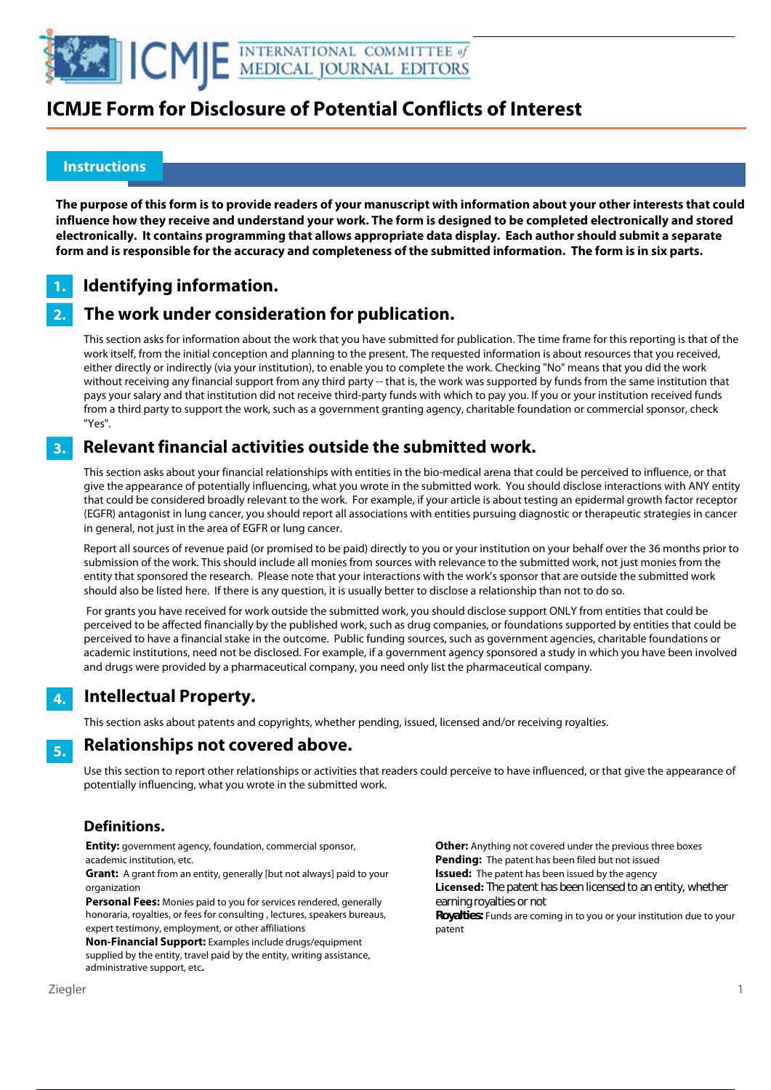

### **Instructions**

**The purpose of this form is to provide readers of your manuscript with information about your other interests that could influence how they receive and understand your work. The form is designed to be completed electronically and stored electronically. It contains programming that allows appropriate data display. Each author should submit a separate form and is responsible for the accuracy and completeness of the submitted information. The form is in six parts.** 

#### **Identifying information. 1.**

#### **The work under consideration for publication. 2.**

This section asks for information about the work that you have submitted for publication. The time frame for this reporting is that of the work itself, from the initial conception and planning to the present. The requested information is about resources that you received, either directly or indirectly (via your institution), to enable you to complete the work. Checking "No" means that you did the work without receiving any financial support from any third party -- that is, the work was supported by funds from the same institution that pays your salary and that institution did not receive third-party funds with which to pay you. If you or your institution received funds from a third party to support the work, such as a government granting agency, charitable foundation or commercial sponsor, check "Yes".

#### **Relevant financial activities outside the submitted work. 3.**

This section asks about your financial relationships with entities in the bio-medical arena that could be perceived to influence, or that give the appearance of potentially influencing, what you wrote in the submitted work. You should disclose interactions with ANY entity that could be considered broadly relevant to the work. For example, if your article is about testing an epidermal growth factor receptor (EGFR) antagonist in lung cancer, you should report all associations with entities pursuing diagnostic or therapeutic strategies in cancer in general, not just in the area of EGFR or lung cancer.

Report all sources of revenue paid (or promised to be paid) directly to you or your institution on your behalf over the 36 months prior to submission of the work. This should include all monies from sources with relevance to the submitted work, not just monies from the entity that sponsored the research. Please note that your interactions with the work's sponsor that are outside the submitted work should also be listed here. If there is any question, it is usually better to disclose a relationship than not to do so.

 For grants you have received for work outside the submitted work, you should disclose support ONLY from entities that could be perceived to be affected financially by the published work, such as drug companies, or foundations supported by entities that could be perceived to have a financial stake in the outcome. Public funding sources, such as government agencies, charitable foundations or academic institutions, need not be disclosed. For example, if a government agency sponsored a study in which you have been involved and drugs were provided by a pharmaceutical company, you need only list the pharmaceutical company.

### **Intellectual Property. 4.**

This section asks about patents and copyrights, whether pending, issued, licensed and/or receiving royalties.

#### **Relationships not covered above. 5.**

Use this section to report other relationships or activities that readers could perceive to have influenced, or that give the appearance of potentially influencing, what you wrote in the submitted work.

### **Definitions.**

**Entity:** government agency, foundation, commercial sponsor, academic institution, etc.

**Grant:** A grant from an entity, generally [but not always] paid to your organization

**Personal Fees:** Monies paid to you for services rendered, generally honoraria, royalties, or fees for consulting , lectures, speakers bureaus, expert testimony, employment, or other affiliations

**Non-Financial Support:** Examples include drugs/equipment supplied by the entity, travel paid by the entity, writing assistance, administrative support, etc**.**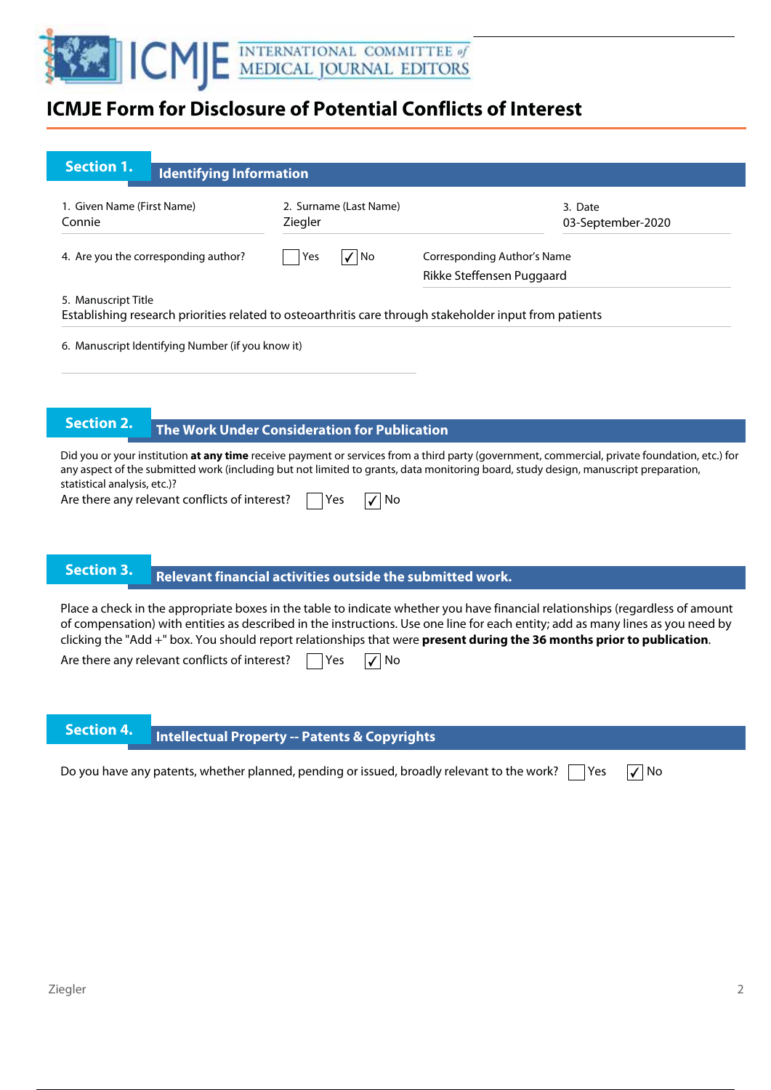

| <b>Section 1.</b>                                                                                                                                                                                                                                                                                                                                                                                                                                         |                                                   |                                                           | <b>Identifying Information</b>                                                                          |  |  |  |  |  |  |
|-----------------------------------------------------------------------------------------------------------------------------------------------------------------------------------------------------------------------------------------------------------------------------------------------------------------------------------------------------------------------------------------------------------------------------------------------------------|---------------------------------------------------|-----------------------------------------------------------|---------------------------------------------------------------------------------------------------------|--|--|--|--|--|--|
| 1. Given Name (First Name)<br>Connie                                                                                                                                                                                                                                                                                                                                                                                                                      |                                                   | 2. Surname (Last Name)<br>Ziegler                         | 3. Date<br>03-September-2020                                                                            |  |  |  |  |  |  |
| 4. Are you the corresponding author?                                                                                                                                                                                                                                                                                                                                                                                                                      |                                                   | Yes<br>$\sqrt{ NQ}$                                       | Corresponding Author's Name<br>Rikke Steffensen Puggaard                                                |  |  |  |  |  |  |
| 5. Manuscript Title                                                                                                                                                                                                                                                                                                                                                                                                                                       |                                                   |                                                           | Establishing research priorities related to osteoarthritis care through stakeholder input from patients |  |  |  |  |  |  |
|                                                                                                                                                                                                                                                                                                                                                                                                                                                           | 6. Manuscript Identifying Number (if you know it) |                                                           |                                                                                                         |  |  |  |  |  |  |
|                                                                                                                                                                                                                                                                                                                                                                                                                                                           |                                                   |                                                           |                                                                                                         |  |  |  |  |  |  |
| <b>Section 2.</b>                                                                                                                                                                                                                                                                                                                                                                                                                                         |                                                   | The Work Under Consideration for Publication              |                                                                                                         |  |  |  |  |  |  |
| Did you or your institution at any time receive payment or services from a third party (government, commercial, private foundation, etc.) for<br>any aspect of the submitted work (including but not limited to grants, data monitoring board, study design, manuscript preparation,<br>statistical analysis, etc.)?<br>Are there any relevant conflicts of interest?<br>No<br>Yes                                                                        |                                                   |                                                           |                                                                                                         |  |  |  |  |  |  |
| <b>Section 3.</b>                                                                                                                                                                                                                                                                                                                                                                                                                                         |                                                   | Relevant financial activities outside the submitted work. |                                                                                                         |  |  |  |  |  |  |
| Place a check in the appropriate boxes in the table to indicate whether you have financial relationships (regardless of amount<br>of compensation) with entities as described in the instructions. Use one line for each entity; add as many lines as you need by<br>clicking the "Add +" box. You should report relationships that were present during the 36 months prior to publication.<br>Are there any relevant conflicts of interest?<br>Yes<br>No |                                                   |                                                           |                                                                                                         |  |  |  |  |  |  |
| <b>Section 4.</b>                                                                                                                                                                                                                                                                                                                                                                                                                                         |                                                   | <b>Intellectual Property -- Patents &amp; Copyrights</b>  |                                                                                                         |  |  |  |  |  |  |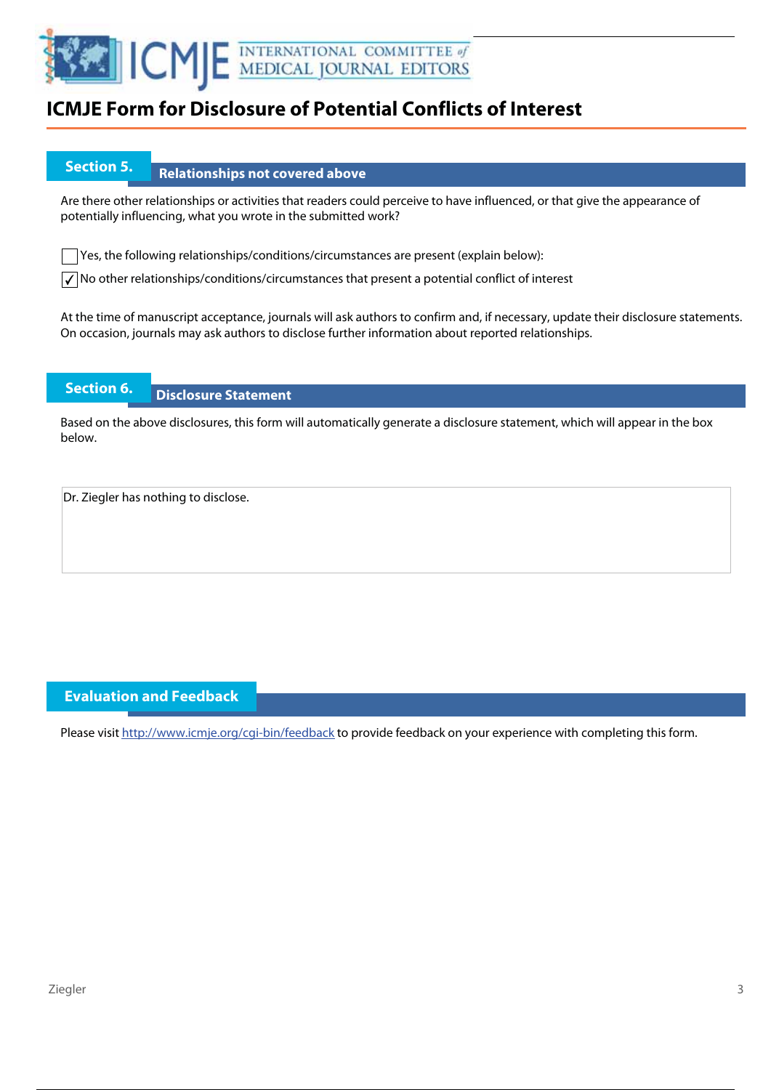

## **Section 5.** Relationships not covered above

Are there other relationships or activities that readers could perceive to have influenced, or that give the appearance of potentially influencing, what you wrote in the submitted work?

Yes, the following relationships/conditions/circumstances are present (explain below):

 $\sqrt{\sqrt{}}$  No other relationships/conditions/circumstances that present a potential conflict of interest

At the time of manuscript acceptance, journals will ask authors to confirm and, if necessary, update their disclosure statements. On occasion, journals may ask authors to disclose further information about reported relationships.

### **Section 6. Disclosure Statement**

Based on the above disclosures, this form will automatically generate a disclosure statement, which will appear in the box below.

Dr. Ziegler has nothing to disclose.

### **Evaluation and Feedback**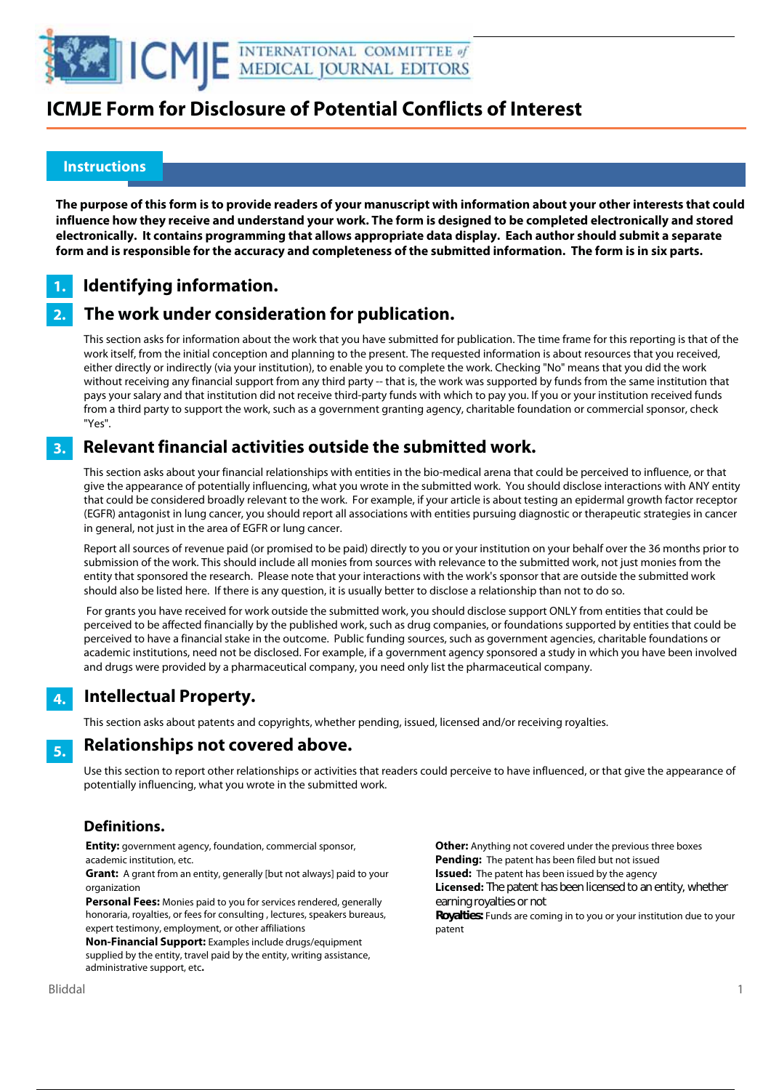

### **Instructions**

**The purpose of this form is to provide readers of your manuscript with information about your other interests that could influence how they receive and understand your work. The form is designed to be completed electronically and stored electronically. It contains programming that allows appropriate data display. Each author should submit a separate form and is responsible for the accuracy and completeness of the submitted information. The form is in six parts.** 

#### **Identifying information. 1.**

#### **The work under consideration for publication. 2.**

This section asks for information about the work that you have submitted for publication. The time frame for this reporting is that of the work itself, from the initial conception and planning to the present. The requested information is about resources that you received, either directly or indirectly (via your institution), to enable you to complete the work. Checking "No" means that you did the work without receiving any financial support from any third party -- that is, the work was supported by funds from the same institution that pays your salary and that institution did not receive third-party funds with which to pay you. If you or your institution received funds from a third party to support the work, such as a government granting agency, charitable foundation or commercial sponsor, check "Yes".

#### **Relevant financial activities outside the submitted work. 3.**

This section asks about your financial relationships with entities in the bio-medical arena that could be perceived to influence, or that give the appearance of potentially influencing, what you wrote in the submitted work. You should disclose interactions with ANY entity that could be considered broadly relevant to the work. For example, if your article is about testing an epidermal growth factor receptor (EGFR) antagonist in lung cancer, you should report all associations with entities pursuing diagnostic or therapeutic strategies in cancer in general, not just in the area of EGFR or lung cancer.

Report all sources of revenue paid (or promised to be paid) directly to you or your institution on your behalf over the 36 months prior to submission of the work. This should include all monies from sources with relevance to the submitted work, not just monies from the entity that sponsored the research. Please note that your interactions with the work's sponsor that are outside the submitted work should also be listed here. If there is any question, it is usually better to disclose a relationship than not to do so.

 For grants you have received for work outside the submitted work, you should disclose support ONLY from entities that could be perceived to be affected financially by the published work, such as drug companies, or foundations supported by entities that could be perceived to have a financial stake in the outcome. Public funding sources, such as government agencies, charitable foundations or academic institutions, need not be disclosed. For example, if a government agency sponsored a study in which you have been involved and drugs were provided by a pharmaceutical company, you need only list the pharmaceutical company.

### **Intellectual Property. 4.**

This section asks about patents and copyrights, whether pending, issued, licensed and/or receiving royalties.

#### **Relationships not covered above. 5.**

Use this section to report other relationships or activities that readers could perceive to have influenced, or that give the appearance of potentially influencing, what you wrote in the submitted work.

### **Definitions.**

**Entity:** government agency, foundation, commercial sponsor, academic institution, etc.

**Grant:** A grant from an entity, generally [but not always] paid to your organization

**Personal Fees:** Monies paid to you for services rendered, generally honoraria, royalties, or fees for consulting , lectures, speakers bureaus, expert testimony, employment, or other affiliations

**Non-Financial Support:** Examples include drugs/equipment supplied by the entity, travel paid by the entity, writing assistance, administrative support, etc**.**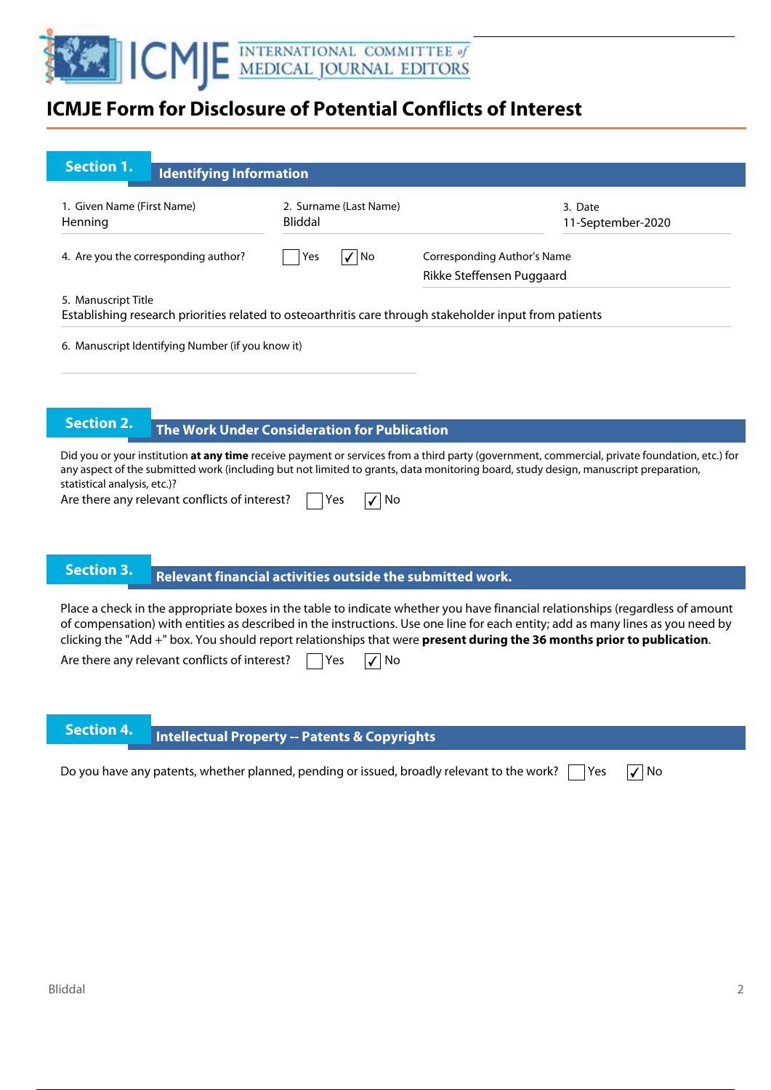

| <b>Section 1.</b><br><b>Identifying Information</b>                                                                                                                                                                                                                                                                                                                                                                                                                                                                    |                                                          |                                                          |  |  |  |
|------------------------------------------------------------------------------------------------------------------------------------------------------------------------------------------------------------------------------------------------------------------------------------------------------------------------------------------------------------------------------------------------------------------------------------------------------------------------------------------------------------------------|----------------------------------------------------------|----------------------------------------------------------|--|--|--|
| 1. Given Name (First Name)<br>Henning                                                                                                                                                                                                                                                                                                                                                                                                                                                                                  | 2. Surname (Last Name)<br>Bliddal                        | 3. Date<br>11-September-2020                             |  |  |  |
| 4. Are you the corresponding author?                                                                                                                                                                                                                                                                                                                                                                                                                                                                                   | No<br>Yes                                                | Corresponding Author's Name<br>Rikke Steffensen Puggaard |  |  |  |
| 5. Manuscript Title<br>Establishing research priorities related to osteoarthritis care through stakeholder input from patients                                                                                                                                                                                                                                                                                                                                                                                         |                                                          |                                                          |  |  |  |
| 6. Manuscript Identifying Number (if you know it)                                                                                                                                                                                                                                                                                                                                                                                                                                                                      |                                                          |                                                          |  |  |  |
|                                                                                                                                                                                                                                                                                                                                                                                                                                                                                                                        |                                                          |                                                          |  |  |  |
| <b>Section 2.</b>                                                                                                                                                                                                                                                                                                                                                                                                                                                                                                      | <b>The Work Under Consideration for Publication</b>      |                                                          |  |  |  |
| Did you or your institution at any time receive payment or services from a third party (government, commercial, private foundation, etc.) for<br>any aspect of the submitted work (including but not limited to grants, data monitoring board, study design, manuscript preparation,<br>statistical analysis, etc.)?<br>Are there any relevant conflicts of interest?<br>Yes<br>  No                                                                                                                                   |                                                          |                                                          |  |  |  |
| <b>Section 3.</b>                                                                                                                                                                                                                                                                                                                                                                                                                                                                                                      |                                                          |                                                          |  |  |  |
| Relevant financial activities outside the submitted work.<br>Place a check in the appropriate boxes in the table to indicate whether you have financial relationships (regardless of amount<br>of compensation) with entities as described in the instructions. Use one line for each entity; add as many lines as you need by<br>clicking the "Add +" box. You should report relationships that were present during the 36 months prior to publication.<br>Are there any relevant conflicts of interest?<br>No<br>Yes |                                                          |                                                          |  |  |  |
| <b>Section 4.</b>                                                                                                                                                                                                                                                                                                                                                                                                                                                                                                      | <b>Intellectual Property -- Patents &amp; Copyrights</b> |                                                          |  |  |  |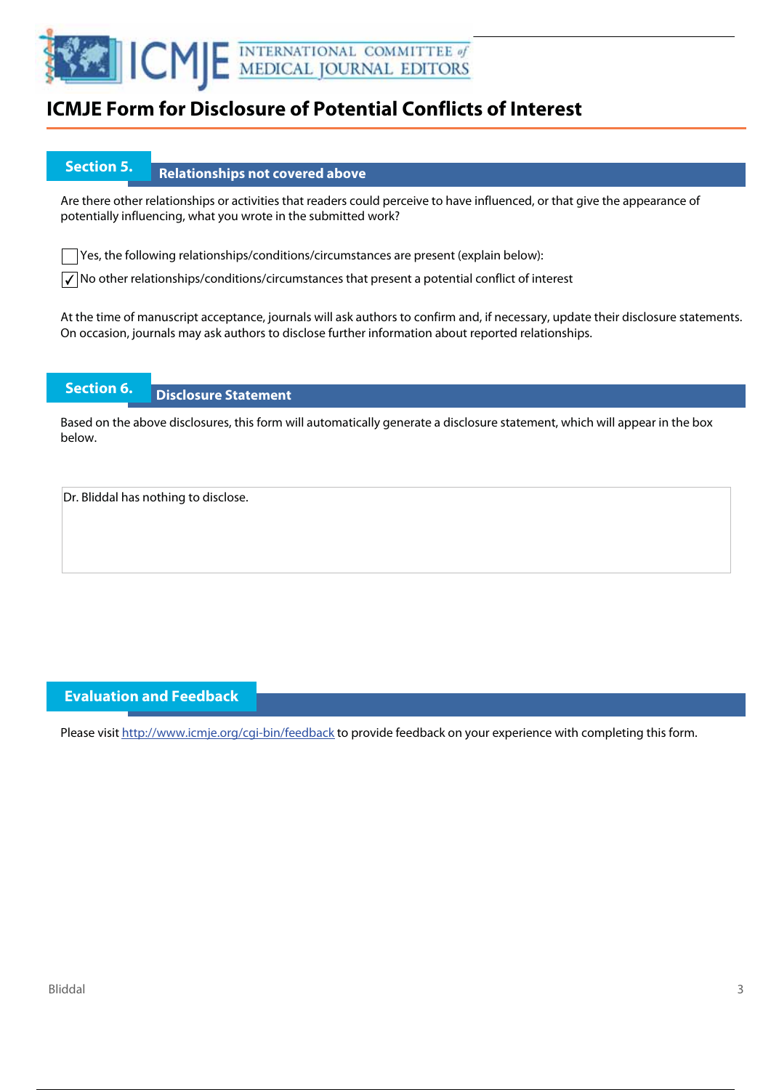

## **Section 5.** Relationships not covered above

Are there other relationships or activities that readers could perceive to have influenced, or that give the appearance of potentially influencing, what you wrote in the submitted work?

Yes, the following relationships/conditions/circumstances are present (explain below):

 $\sqrt{\sqrt{}}$  No other relationships/conditions/circumstances that present a potential conflict of interest

At the time of manuscript acceptance, journals will ask authors to confirm and, if necessary, update their disclosure statements. On occasion, journals may ask authors to disclose further information about reported relationships.

### **Section 6. Disclosure Statement**

Based on the above disclosures, this form will automatically generate a disclosure statement, which will appear in the box below.

Dr. Bliddal has nothing to disclose.

### **Evaluation and Feedback**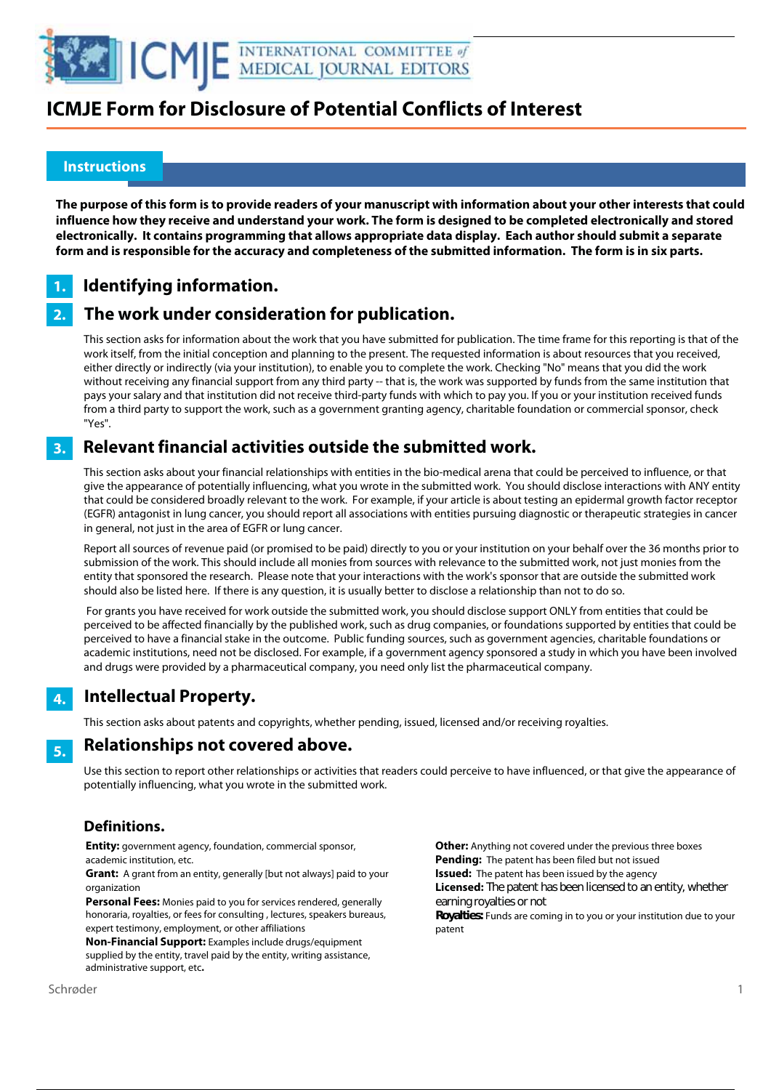

### **Instructions**

**The purpose of this form is to provide readers of your manuscript with information about your other interests that could influence how they receive and understand your work. The form is designed to be completed electronically and stored electronically. It contains programming that allows appropriate data display. Each author should submit a separate form and is responsible for the accuracy and completeness of the submitted information. The form is in six parts.** 

#### **Identifying information. 1.**

#### **The work under consideration for publication. 2.**

This section asks for information about the work that you have submitted for publication. The time frame for this reporting is that of the work itself, from the initial conception and planning to the present. The requested information is about resources that you received, either directly or indirectly (via your institution), to enable you to complete the work. Checking "No" means that you did the work without receiving any financial support from any third party -- that is, the work was supported by funds from the same institution that pays your salary and that institution did not receive third-party funds with which to pay you. If you or your institution received funds from a third party to support the work, such as a government granting agency, charitable foundation or commercial sponsor, check "Yes".

#### **Relevant financial activities outside the submitted work. 3.**

This section asks about your financial relationships with entities in the bio-medical arena that could be perceived to influence, or that give the appearance of potentially influencing, what you wrote in the submitted work. You should disclose interactions with ANY entity that could be considered broadly relevant to the work. For example, if your article is about testing an epidermal growth factor receptor (EGFR) antagonist in lung cancer, you should report all associations with entities pursuing diagnostic or therapeutic strategies in cancer in general, not just in the area of EGFR or lung cancer.

Report all sources of revenue paid (or promised to be paid) directly to you or your institution on your behalf over the 36 months prior to submission of the work. This should include all monies from sources with relevance to the submitted work, not just monies from the entity that sponsored the research. Please note that your interactions with the work's sponsor that are outside the submitted work should also be listed here. If there is any question, it is usually better to disclose a relationship than not to do so.

 For grants you have received for work outside the submitted work, you should disclose support ONLY from entities that could be perceived to be affected financially by the published work, such as drug companies, or foundations supported by entities that could be perceived to have a financial stake in the outcome. Public funding sources, such as government agencies, charitable foundations or academic institutions, need not be disclosed. For example, if a government agency sponsored a study in which you have been involved and drugs were provided by a pharmaceutical company, you need only list the pharmaceutical company.

#### **Intellectual Property. 4.**

This section asks about patents and copyrights, whether pending, issued, licensed and/or receiving royalties.

#### **Relationships not covered above. 5.**

Use this section to report other relationships or activities that readers could perceive to have influenced, or that give the appearance of potentially influencing, what you wrote in the submitted work.

### **Definitions.**

**Entity:** government agency, foundation, commercial sponsor, academic institution, etc.

**Grant:** A grant from an entity, generally [but not always] paid to your organization

**Personal Fees:** Monies paid to you for services rendered, generally honoraria, royalties, or fees for consulting , lectures, speakers bureaus, expert testimony, employment, or other affiliations

**Non-Financial Support:** Examples include drugs/equipment supplied by the entity, travel paid by the entity, writing assistance, administrative support, etc**.**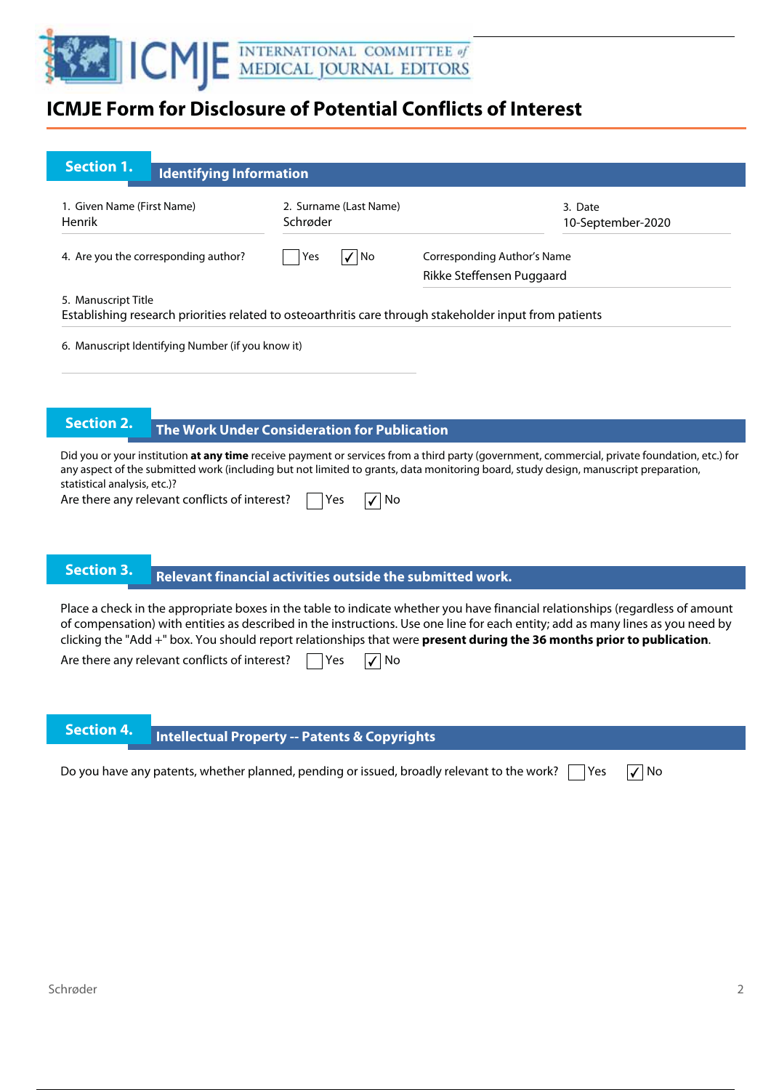

| <b>Section 1.</b>                                                                                                                                                                                                                                                                                                                                                                                                                                                | <b>Identifying Information</b>                                                                                                                                                                                                                                                                                                                                                     |                                                           |                                                                                                         |  |  |  |
|------------------------------------------------------------------------------------------------------------------------------------------------------------------------------------------------------------------------------------------------------------------------------------------------------------------------------------------------------------------------------------------------------------------------------------------------------------------|------------------------------------------------------------------------------------------------------------------------------------------------------------------------------------------------------------------------------------------------------------------------------------------------------------------------------------------------------------------------------------|-----------------------------------------------------------|---------------------------------------------------------------------------------------------------------|--|--|--|
| 1. Given Name (First Name)<br>Henrik                                                                                                                                                                                                                                                                                                                                                                                                                             |                                                                                                                                                                                                                                                                                                                                                                                    | 2. Surname (Last Name)<br>Schrøder                        | 3. Date<br>10-September-2020                                                                            |  |  |  |
| 4. Are you the corresponding author?                                                                                                                                                                                                                                                                                                                                                                                                                             |                                                                                                                                                                                                                                                                                                                                                                                    | $\sqrt{ N}$<br>Yes                                        | Corresponding Author's Name<br>Rikke Steffensen Puggaard                                                |  |  |  |
| 5. Manuscript Title                                                                                                                                                                                                                                                                                                                                                                                                                                              |                                                                                                                                                                                                                                                                                                                                                                                    |                                                           | Establishing research priorities related to osteoarthritis care through stakeholder input from patients |  |  |  |
|                                                                                                                                                                                                                                                                                                                                                                                                                                                                  | 6. Manuscript Identifying Number (if you know it)                                                                                                                                                                                                                                                                                                                                  |                                                           |                                                                                                         |  |  |  |
|                                                                                                                                                                                                                                                                                                                                                                                                                                                                  |                                                                                                                                                                                                                                                                                                                                                                                    |                                                           |                                                                                                         |  |  |  |
| <b>Section 2.</b>                                                                                                                                                                                                                                                                                                                                                                                                                                                |                                                                                                                                                                                                                                                                                                                                                                                    | The Work Under Consideration for Publication              |                                                                                                         |  |  |  |
|                                                                                                                                                                                                                                                                                                                                                                                                                                                                  | Did you or your institution at any time receive payment or services from a third party (government, commercial, private foundation, etc.) for<br>any aspect of the submitted work (including but not limited to grants, data monitoring board, study design, manuscript preparation,<br>statistical analysis, etc.)?<br>Are there any relevant conflicts of interest?<br>Yes<br>No |                                                           |                                                                                                         |  |  |  |
| <b>Section 3.</b>                                                                                                                                                                                                                                                                                                                                                                                                                                                |                                                                                                                                                                                                                                                                                                                                                                                    | Relevant financial activities outside the submitted work. |                                                                                                         |  |  |  |
| Place a check in the appropriate boxes in the table to indicate whether you have financial relationships (regardless of amount<br>of compensation) with entities as described in the instructions. Use one line for each entity; add as many lines as you need by<br>clicking the "Add +" box. You should report relationships that were present during the 36 months prior to publication.<br>Are there any relevant conflicts of interest?<br>No<br><b>Yes</b> |                                                                                                                                                                                                                                                                                                                                                                                    |                                                           |                                                                                                         |  |  |  |
| <b>Section 4.</b>                                                                                                                                                                                                                                                                                                                                                                                                                                                |                                                                                                                                                                                                                                                                                                                                                                                    | <b>Intellectual Property -- Patents &amp; Copyrights</b>  |                                                                                                         |  |  |  |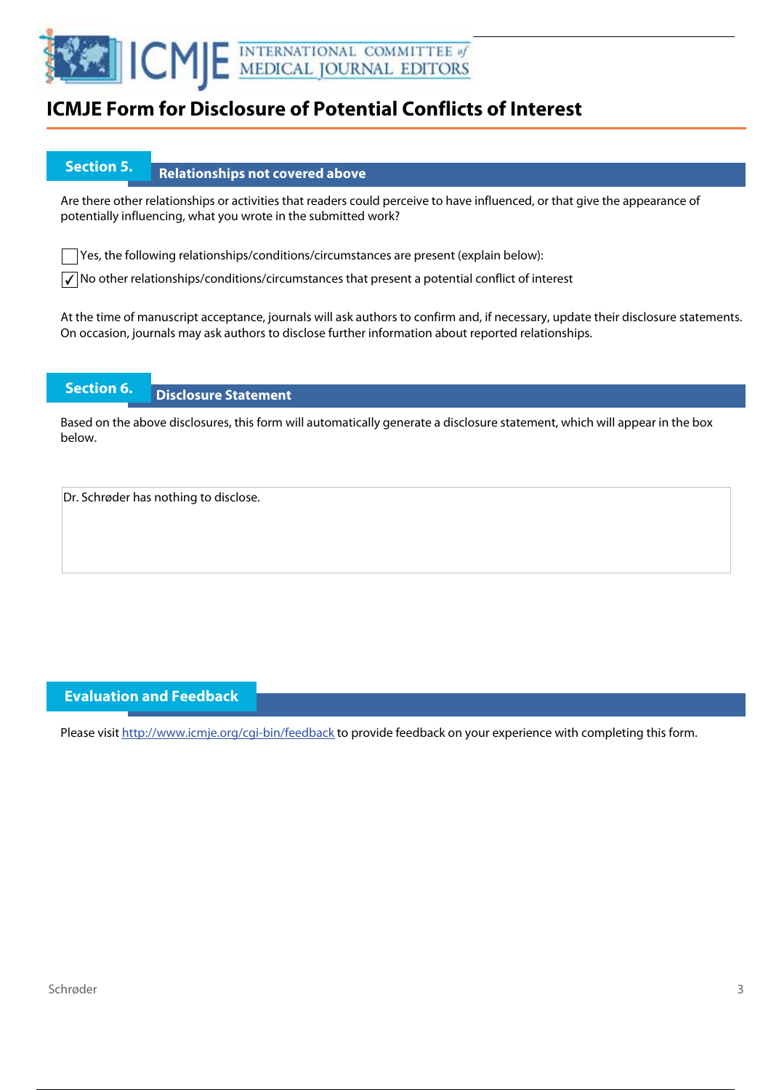

## **Section 5.** Relationships not covered above

Are there other relationships or activities that readers could perceive to have influenced, or that give the appearance of potentially influencing, what you wrote in the submitted work?

Yes, the following relationships/conditions/circumstances are present (explain below):

 $\sqrt{\sqrt{}}$  No other relationships/conditions/circumstances that present a potential conflict of interest

At the time of manuscript acceptance, journals will ask authors to confirm and, if necessary, update their disclosure statements. On occasion, journals may ask authors to disclose further information about reported relationships.

### **Section 6. Disclosure Statement**

Based on the above disclosures, this form will automatically generate a disclosure statement, which will appear in the box below.

Dr. Schrøder has nothing to disclose.

### **Evaluation and Feedback**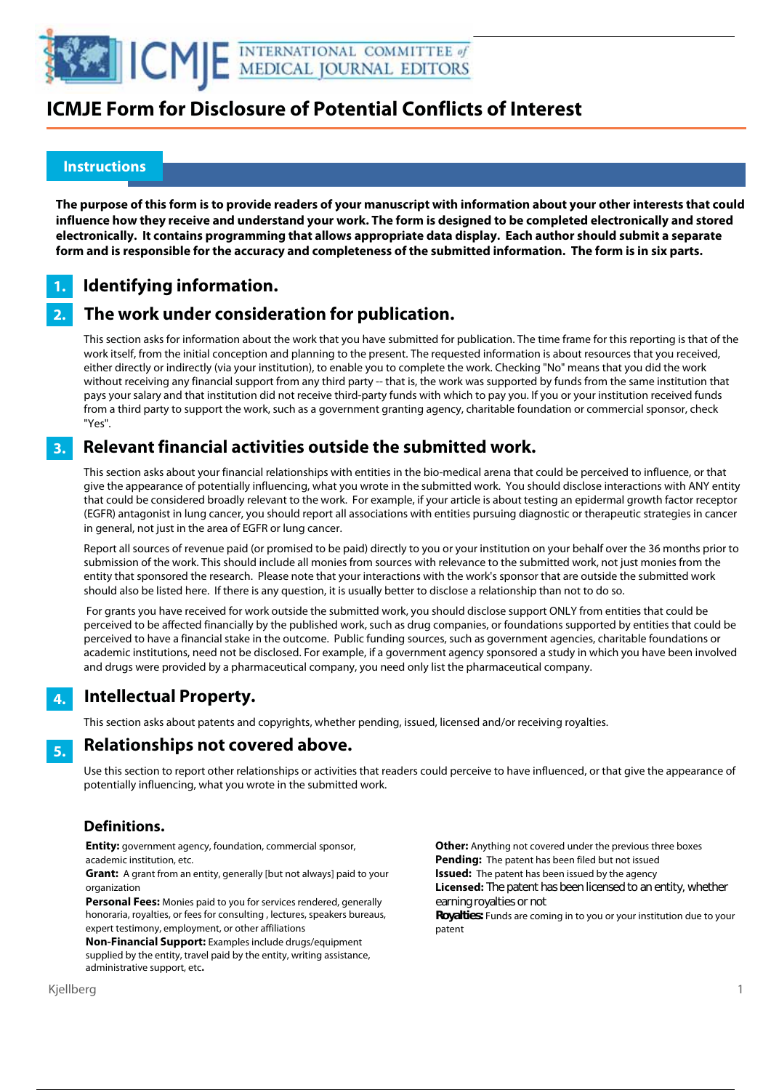

### **Instructions**

**The purpose of this form is to provide readers of your manuscript with information about your other interests that could influence how they receive and understand your work. The form is designed to be completed electronically and stored electronically. It contains programming that allows appropriate data display. Each author should submit a separate form and is responsible for the accuracy and completeness of the submitted information. The form is in six parts.** 

#### **Identifying information. 1.**

#### **The work under consideration for publication. 2.**

This section asks for information about the work that you have submitted for publication. The time frame for this reporting is that of the work itself, from the initial conception and planning to the present. The requested information is about resources that you received, either directly or indirectly (via your institution), to enable you to complete the work. Checking "No" means that you did the work without receiving any financial support from any third party -- that is, the work was supported by funds from the same institution that pays your salary and that institution did not receive third-party funds with which to pay you. If you or your institution received funds from a third party to support the work, such as a government granting agency, charitable foundation or commercial sponsor, check "Yes".

#### **Relevant financial activities outside the submitted work. 3.**

This section asks about your financial relationships with entities in the bio-medical arena that could be perceived to influence, or that give the appearance of potentially influencing, what you wrote in the submitted work. You should disclose interactions with ANY entity that could be considered broadly relevant to the work. For example, if your article is about testing an epidermal growth factor receptor (EGFR) antagonist in lung cancer, you should report all associations with entities pursuing diagnostic or therapeutic strategies in cancer in general, not just in the area of EGFR or lung cancer.

Report all sources of revenue paid (or promised to be paid) directly to you or your institution on your behalf over the 36 months prior to submission of the work. This should include all monies from sources with relevance to the submitted work, not just monies from the entity that sponsored the research. Please note that your interactions with the work's sponsor that are outside the submitted work should also be listed here. If there is any question, it is usually better to disclose a relationship than not to do so.

 For grants you have received for work outside the submitted work, you should disclose support ONLY from entities that could be perceived to be affected financially by the published work, such as drug companies, or foundations supported by entities that could be perceived to have a financial stake in the outcome. Public funding sources, such as government agencies, charitable foundations or academic institutions, need not be disclosed. For example, if a government agency sponsored a study in which you have been involved and drugs were provided by a pharmaceutical company, you need only list the pharmaceutical company.

#### **Intellectual Property. 4.**

This section asks about patents and copyrights, whether pending, issued, licensed and/or receiving royalties.

#### **Relationships not covered above. 5.**

Use this section to report other relationships or activities that readers could perceive to have influenced, or that give the appearance of potentially influencing, what you wrote in the submitted work.

### **Definitions.**

**Entity:** government agency, foundation, commercial sponsor, academic institution, etc.

**Grant:** A grant from an entity, generally [but not always] paid to your organization

**Personal Fees:** Monies paid to you for services rendered, generally honoraria, royalties, or fees for consulting , lectures, speakers bureaus, expert testimony, employment, or other affiliations

**Non-Financial Support:** Examples include drugs/equipment supplied by the entity, travel paid by the entity, writing assistance, administrative support, etc**.**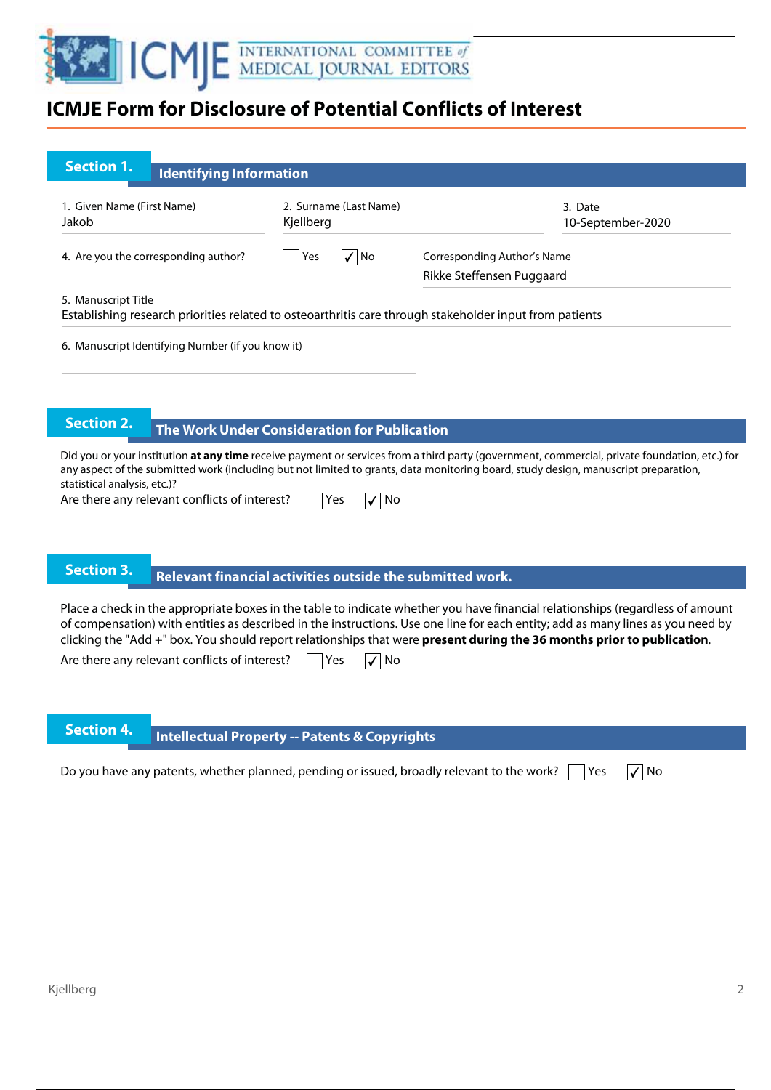

| <b>Section 1.</b><br><b>Identifying Information</b>                                                                                                                                                                                                                                                                                                                                         |                                                           |                                                                                                                                                                                                                                                                                      |  |  |  |
|---------------------------------------------------------------------------------------------------------------------------------------------------------------------------------------------------------------------------------------------------------------------------------------------------------------------------------------------------------------------------------------------|-----------------------------------------------------------|--------------------------------------------------------------------------------------------------------------------------------------------------------------------------------------------------------------------------------------------------------------------------------------|--|--|--|
| 1. Given Name (First Name)<br>Jakob                                                                                                                                                                                                                                                                                                                                                         | 2. Surname (Last Name)<br>Kjellberg                       | 3. Date<br>10-September-2020                                                                                                                                                                                                                                                         |  |  |  |
| 4. Are you the corresponding author?                                                                                                                                                                                                                                                                                                                                                        | Yes<br>No                                                 | Corresponding Author's Name<br>Rikke Steffensen Puggaard                                                                                                                                                                                                                             |  |  |  |
| 5. Manuscript Title<br>Establishing research priorities related to osteoarthritis care through stakeholder input from patients                                                                                                                                                                                                                                                              |                                                           |                                                                                                                                                                                                                                                                                      |  |  |  |
| 6. Manuscript Identifying Number (if you know it)                                                                                                                                                                                                                                                                                                                                           |                                                           |                                                                                                                                                                                                                                                                                      |  |  |  |
|                                                                                                                                                                                                                                                                                                                                                                                             |                                                           |                                                                                                                                                                                                                                                                                      |  |  |  |
| <b>Section 2.</b>                                                                                                                                                                                                                                                                                                                                                                           | <b>The Work Under Consideration for Publication</b>       |                                                                                                                                                                                                                                                                                      |  |  |  |
| statistical analysis, etc.)?                                                                                                                                                                                                                                                                                                                                                                |                                                           | Did you or your institution at any time receive payment or services from a third party (government, commercial, private foundation, etc.) for<br>any aspect of the submitted work (including but not limited to grants, data monitoring board, study design, manuscript preparation, |  |  |  |
| Are there any relevant conflicts of interest?                                                                                                                                                                                                                                                                                                                                               | Yes<br>No                                                 |                                                                                                                                                                                                                                                                                      |  |  |  |
|                                                                                                                                                                                                                                                                                                                                                                                             |                                                           |                                                                                                                                                                                                                                                                                      |  |  |  |
| <b>Section 3.</b>                                                                                                                                                                                                                                                                                                                                                                           | Relevant financial activities outside the submitted work. |                                                                                                                                                                                                                                                                                      |  |  |  |
| Place a check in the appropriate boxes in the table to indicate whether you have financial relationships (regardless of amount<br>of compensation) with entities as described in the instructions. Use one line for each entity; add as many lines as you need by<br>clicking the "Add +" box. You should report relationships that were present during the 36 months prior to publication. |                                                           |                                                                                                                                                                                                                                                                                      |  |  |  |
| Are there any relevant conflicts of interest?                                                                                                                                                                                                                                                                                                                                               | No<br>Yes                                                 |                                                                                                                                                                                                                                                                                      |  |  |  |
|                                                                                                                                                                                                                                                                                                                                                                                             |                                                           |                                                                                                                                                                                                                                                                                      |  |  |  |
| <b>Section 4.</b>                                                                                                                                                                                                                                                                                                                                                                           | <b>Intellectual Property -- Patents &amp; Copyrights</b>  |                                                                                                                                                                                                                                                                                      |  |  |  |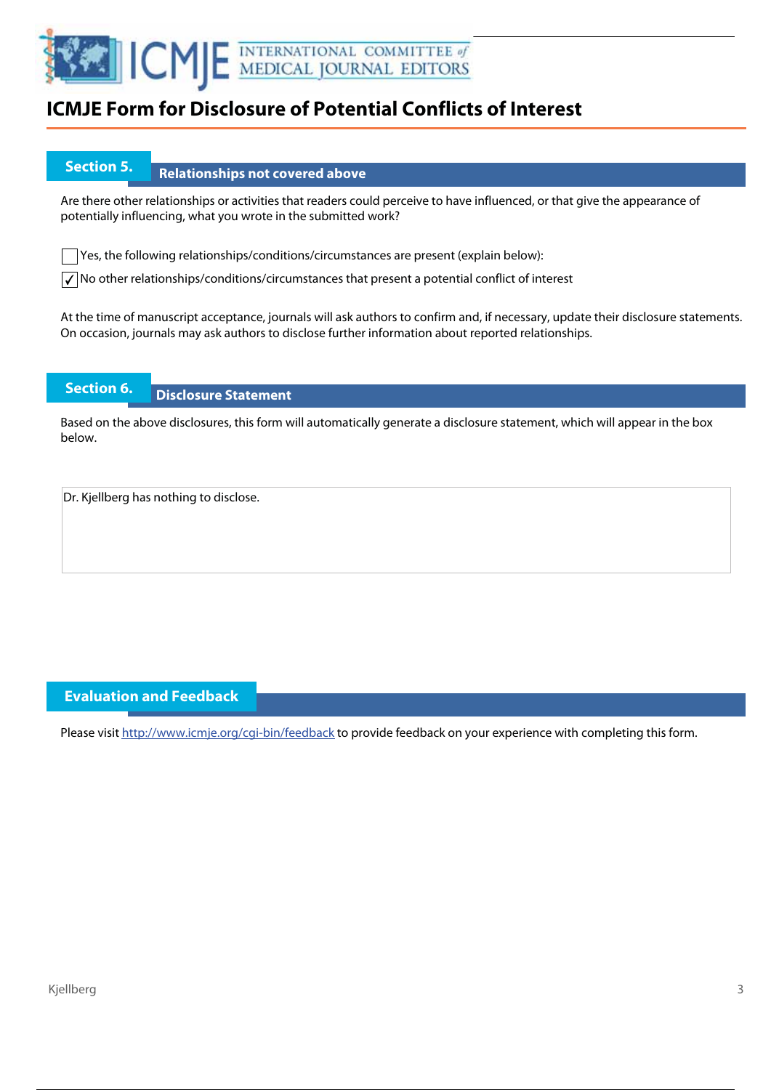

## **Section 5.** Relationships not covered above

Are there other relationships or activities that readers could perceive to have influenced, or that give the appearance of potentially influencing, what you wrote in the submitted work?

Yes, the following relationships/conditions/circumstances are present (explain below):

 $\sqrt{\sqrt{}}$  No other relationships/conditions/circumstances that present a potential conflict of interest

At the time of manuscript acceptance, journals will ask authors to confirm and, if necessary, update their disclosure statements. On occasion, journals may ask authors to disclose further information about reported relationships.

### **Section 6. Disclosure Statement**

Based on the above disclosures, this form will automatically generate a disclosure statement, which will appear in the box below.

Dr. Kjellberg has nothing to disclose.

### **Evaluation and Feedback**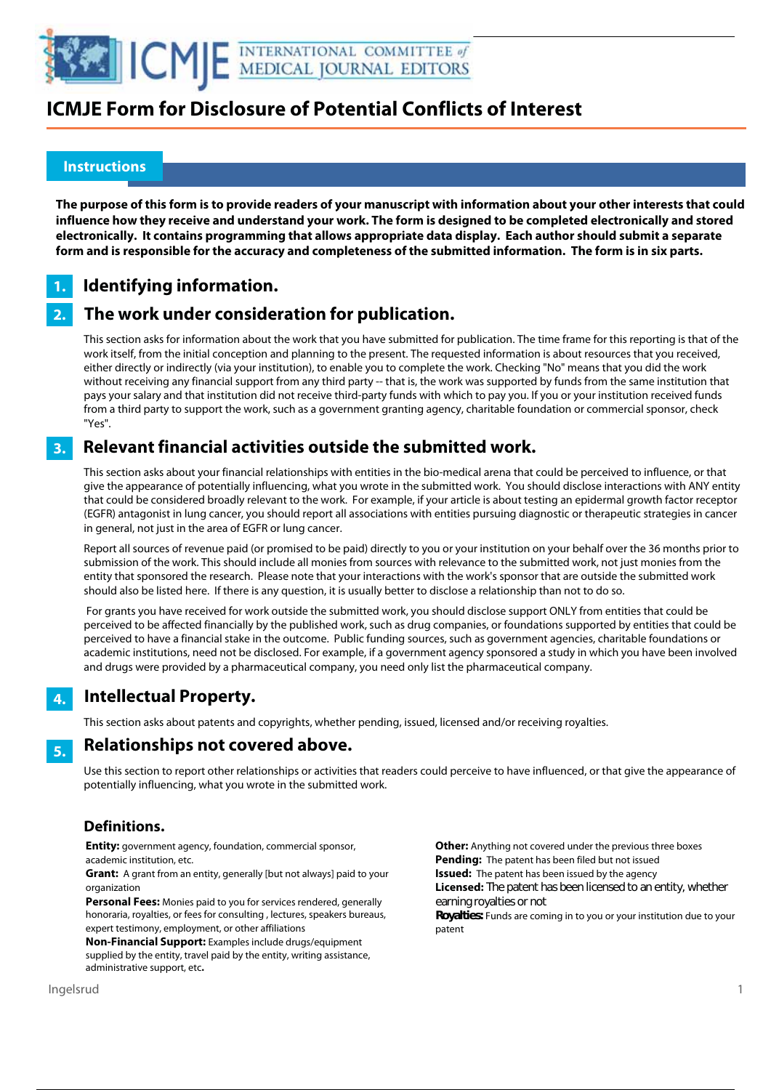

### **Instructions**

**The purpose of this form is to provide readers of your manuscript with information about your other interests that could influence how they receive and understand your work. The form is designed to be completed electronically and stored electronically. It contains programming that allows appropriate data display. Each author should submit a separate form and is responsible for the accuracy and completeness of the submitted information. The form is in six parts.** 

#### **Identifying information. 1.**

#### **The work under consideration for publication. 2.**

This section asks for information about the work that you have submitted for publication. The time frame for this reporting is that of the work itself, from the initial conception and planning to the present. The requested information is about resources that you received, either directly or indirectly (via your institution), to enable you to complete the work. Checking "No" means that you did the work without receiving any financial support from any third party -- that is, the work was supported by funds from the same institution that pays your salary and that institution did not receive third-party funds with which to pay you. If you or your institution received funds from a third party to support the work, such as a government granting agency, charitable foundation or commercial sponsor, check "Yes".

#### **Relevant financial activities outside the submitted work. 3.**

This section asks about your financial relationships with entities in the bio-medical arena that could be perceived to influence, or that give the appearance of potentially influencing, what you wrote in the submitted work. You should disclose interactions with ANY entity that could be considered broadly relevant to the work. For example, if your article is about testing an epidermal growth factor receptor (EGFR) antagonist in lung cancer, you should report all associations with entities pursuing diagnostic or therapeutic strategies in cancer in general, not just in the area of EGFR or lung cancer.

Report all sources of revenue paid (or promised to be paid) directly to you or your institution on your behalf over the 36 months prior to submission of the work. This should include all monies from sources with relevance to the submitted work, not just monies from the entity that sponsored the research. Please note that your interactions with the work's sponsor that are outside the submitted work should also be listed here. If there is any question, it is usually better to disclose a relationship than not to do so.

 For grants you have received for work outside the submitted work, you should disclose support ONLY from entities that could be perceived to be affected financially by the published work, such as drug companies, or foundations supported by entities that could be perceived to have a financial stake in the outcome. Public funding sources, such as government agencies, charitable foundations or academic institutions, need not be disclosed. For example, if a government agency sponsored a study in which you have been involved and drugs were provided by a pharmaceutical company, you need only list the pharmaceutical company.

#### **Intellectual Property. 4.**

This section asks about patents and copyrights, whether pending, issued, licensed and/or receiving royalties.

#### **Relationships not covered above. 5.**

Use this section to report other relationships or activities that readers could perceive to have influenced, or that give the appearance of potentially influencing, what you wrote in the submitted work.

### **Definitions.**

**Entity:** government agency, foundation, commercial sponsor, academic institution, etc.

**Grant:** A grant from an entity, generally [but not always] paid to your organization

**Personal Fees:** Monies paid to you for services rendered, generally honoraria, royalties, or fees for consulting , lectures, speakers bureaus, expert testimony, employment, or other affiliations

**Non-Financial Support:** Examples include drugs/equipment supplied by the entity, travel paid by the entity, writing assistance, administrative support, etc**.**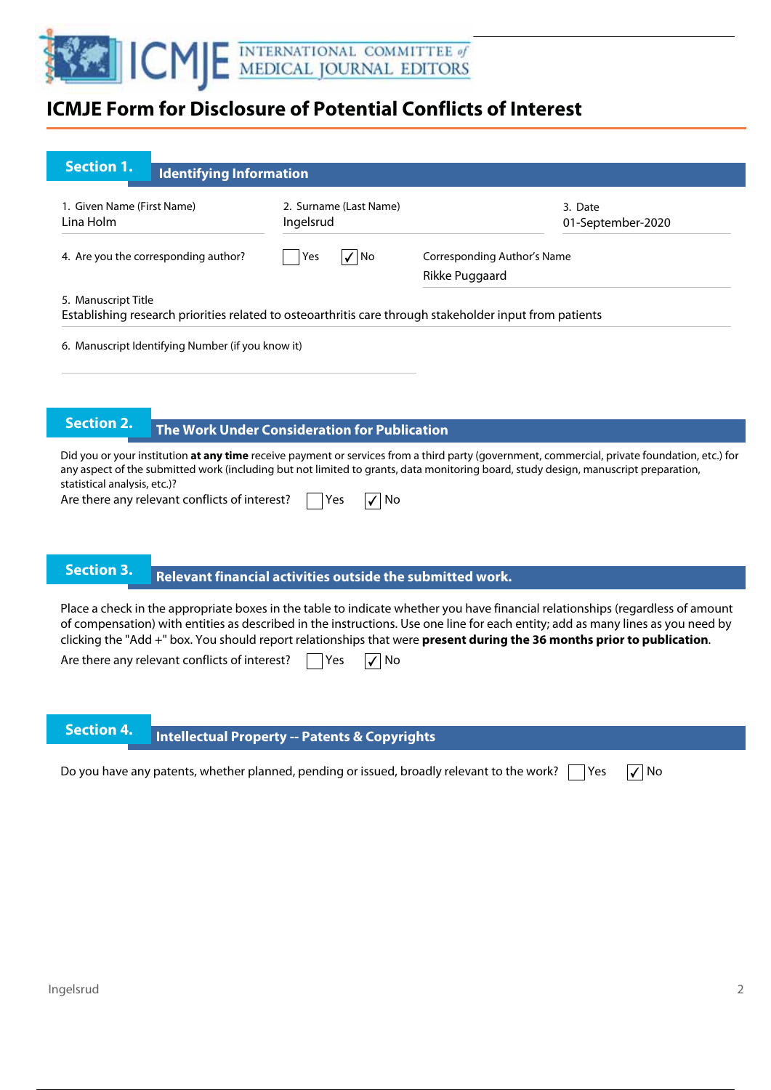

| <b>Section 1.</b><br><b>Identifying Information</b>                                                                                                                                                                                                                                                                                                                                                                                                |                                                           |                                                                                                                                                                                                                                                                                      |  |  |  |
|----------------------------------------------------------------------------------------------------------------------------------------------------------------------------------------------------------------------------------------------------------------------------------------------------------------------------------------------------------------------------------------------------------------------------------------------------|-----------------------------------------------------------|--------------------------------------------------------------------------------------------------------------------------------------------------------------------------------------------------------------------------------------------------------------------------------------|--|--|--|
| 1. Given Name (First Name)<br>Lina Holm                                                                                                                                                                                                                                                                                                                                                                                                            | 2. Surname (Last Name)<br>Ingelsrud                       | 3. Date<br>01-September-2020                                                                                                                                                                                                                                                         |  |  |  |
| 4. Are you the corresponding author?                                                                                                                                                                                                                                                                                                                                                                                                               | $\sqrt{ N_{0}}$<br>Yes                                    | Corresponding Author's Name<br>Rikke Puggaard                                                                                                                                                                                                                                        |  |  |  |
| 5. Manuscript Title<br>Establishing research priorities related to osteoarthritis care through stakeholder input from patients                                                                                                                                                                                                                                                                                                                     |                                                           |                                                                                                                                                                                                                                                                                      |  |  |  |
| 6. Manuscript Identifying Number (if you know it)                                                                                                                                                                                                                                                                                                                                                                                                  |                                                           |                                                                                                                                                                                                                                                                                      |  |  |  |
|                                                                                                                                                                                                                                                                                                                                                                                                                                                    |                                                           |                                                                                                                                                                                                                                                                                      |  |  |  |
| <b>Section 2.</b>                                                                                                                                                                                                                                                                                                                                                                                                                                  | The Work Under Consideration for Publication              |                                                                                                                                                                                                                                                                                      |  |  |  |
| statistical analysis, etc.)?                                                                                                                                                                                                                                                                                                                                                                                                                       |                                                           | Did you or your institution at any time receive payment or services from a third party (government, commercial, private foundation, etc.) for<br>any aspect of the submitted work (including but not limited to grants, data monitoring board, study design, manuscript preparation, |  |  |  |
| Are there any relevant conflicts of interest?                                                                                                                                                                                                                                                                                                                                                                                                      | Yes<br>  No                                               |                                                                                                                                                                                                                                                                                      |  |  |  |
|                                                                                                                                                                                                                                                                                                                                                                                                                                                    |                                                           |                                                                                                                                                                                                                                                                                      |  |  |  |
| <b>Section 3.</b>                                                                                                                                                                                                                                                                                                                                                                                                                                  | Relevant financial activities outside the submitted work. |                                                                                                                                                                                                                                                                                      |  |  |  |
| Place a check in the appropriate boxes in the table to indicate whether you have financial relationships (regardless of amount<br>of compensation) with entities as described in the instructions. Use one line for each entity; add as many lines as you need by<br>clicking the "Add +" box. You should report relationships that were present during the 36 months prior to publication.<br>Are there any relevant conflicts of interest?<br>No |                                                           |                                                                                                                                                                                                                                                                                      |  |  |  |
|                                                                                                                                                                                                                                                                                                                                                                                                                                                    | Yes                                                       |                                                                                                                                                                                                                                                                                      |  |  |  |
| <b>Section 4.</b>                                                                                                                                                                                                                                                                                                                                                                                                                                  |                                                           |                                                                                                                                                                                                                                                                                      |  |  |  |
|                                                                                                                                                                                                                                                                                                                                                                                                                                                    | <b>Intellectual Property -- Patents &amp; Copyrights</b>  |                                                                                                                                                                                                                                                                                      |  |  |  |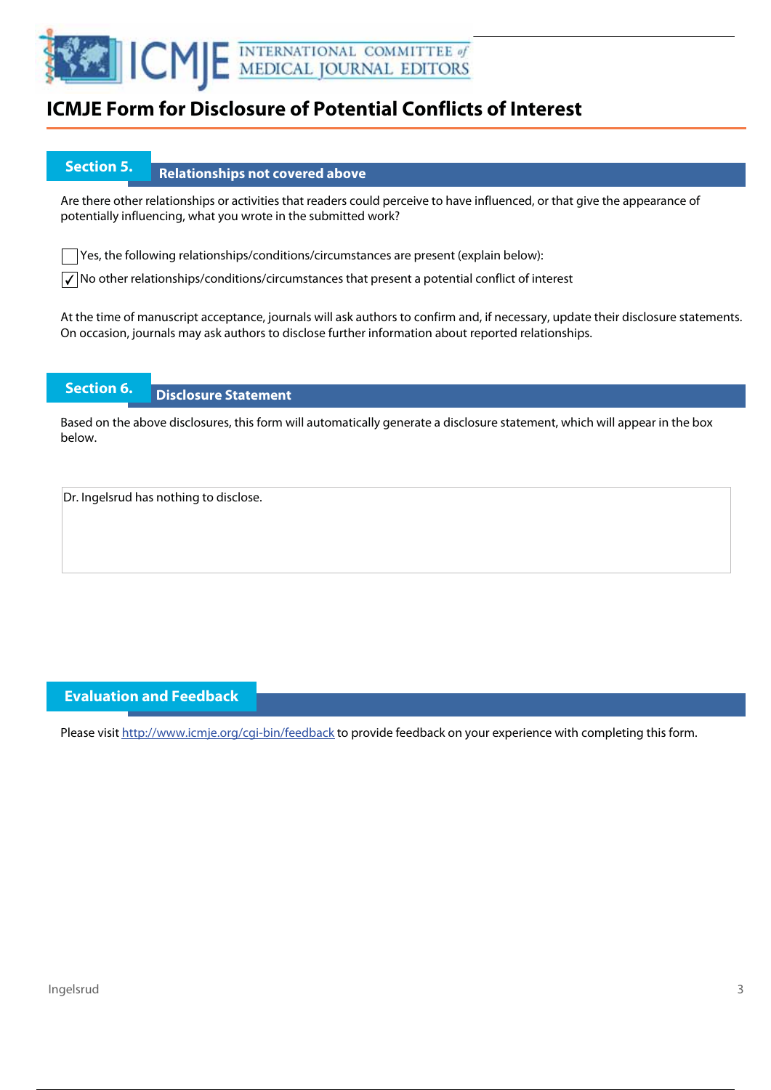

## **Section 5.** Relationships not covered above

Are there other relationships or activities that readers could perceive to have influenced, or that give the appearance of potentially influencing, what you wrote in the submitted work?

Yes, the following relationships/conditions/circumstances are present (explain below):

 $\sqrt{\sqrt{}}$  No other relationships/conditions/circumstances that present a potential conflict of interest

At the time of manuscript acceptance, journals will ask authors to confirm and, if necessary, update their disclosure statements. On occasion, journals may ask authors to disclose further information about reported relationships.

### **Section 6. Disclosure Statement**

Based on the above disclosures, this form will automatically generate a disclosure statement, which will appear in the box below.

Dr. Ingelsrud has nothing to disclose.

### **Evaluation and Feedback**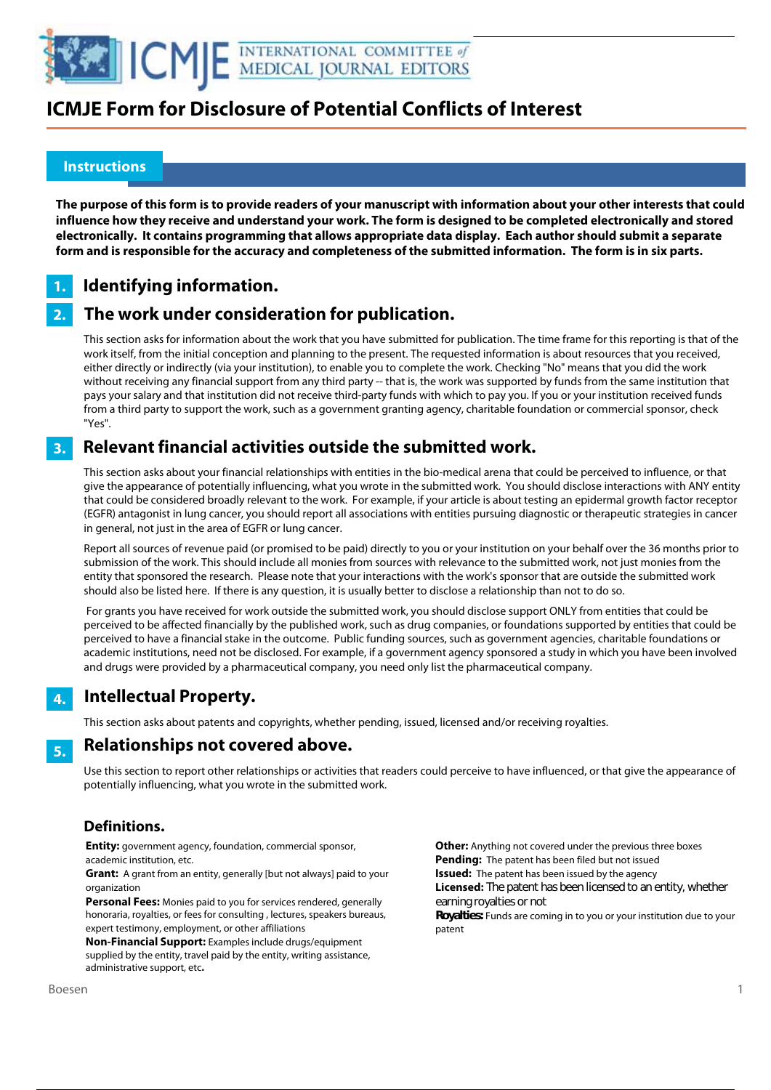

### **Instructions**

**The purpose of this form is to provide readers of your manuscript with information about your other interests that could influence how they receive and understand your work. The form is designed to be completed electronically and stored electronically. It contains programming that allows appropriate data display. Each author should submit a separate form and is responsible for the accuracy and completeness of the submitted information. The form is in six parts.** 

#### **Identifying information. 1.**

#### **The work under consideration for publication. 2.**

This section asks for information about the work that you have submitted for publication. The time frame for this reporting is that of the work itself, from the initial conception and planning to the present. The requested information is about resources that you received, either directly or indirectly (via your institution), to enable you to complete the work. Checking "No" means that you did the work without receiving any financial support from any third party -- that is, the work was supported by funds from the same institution that pays your salary and that institution did not receive third-party funds with which to pay you. If you or your institution received funds from a third party to support the work, such as a government granting agency, charitable foundation or commercial sponsor, check "Yes".

#### **Relevant financial activities outside the submitted work. 3.**

This section asks about your financial relationships with entities in the bio-medical arena that could be perceived to influence, or that give the appearance of potentially influencing, what you wrote in the submitted work. You should disclose interactions with ANY entity that could be considered broadly relevant to the work. For example, if your article is about testing an epidermal growth factor receptor (EGFR) antagonist in lung cancer, you should report all associations with entities pursuing diagnostic or therapeutic strategies in cancer in general, not just in the area of EGFR or lung cancer.

Report all sources of revenue paid (or promised to be paid) directly to you or your institution on your behalf over the 36 months prior to submission of the work. This should include all monies from sources with relevance to the submitted work, not just monies from the entity that sponsored the research. Please note that your interactions with the work's sponsor that are outside the submitted work should also be listed here. If there is any question, it is usually better to disclose a relationship than not to do so.

 For grants you have received for work outside the submitted work, you should disclose support ONLY from entities that could be perceived to be affected financially by the published work, such as drug companies, or foundations supported by entities that could be perceived to have a financial stake in the outcome. Public funding sources, such as government agencies, charitable foundations or academic institutions, need not be disclosed. For example, if a government agency sponsored a study in which you have been involved and drugs were provided by a pharmaceutical company, you need only list the pharmaceutical company.

#### **Intellectual Property. 4.**

This section asks about patents and copyrights, whether pending, issued, licensed and/or receiving royalties.

#### **Relationships not covered above. 5.**

Use this section to report other relationships or activities that readers could perceive to have influenced, or that give the appearance of potentially influencing, what you wrote in the submitted work.

### **Definitions.**

**Entity:** government agency, foundation, commercial sponsor, academic institution, etc.

**Grant:** A grant from an entity, generally [but not always] paid to your organization

**Personal Fees:** Monies paid to you for services rendered, generally honoraria, royalties, or fees for consulting , lectures, speakers bureaus, expert testimony, employment, or other affiliations

**Non-Financial Support:** Examples include drugs/equipment supplied by the entity, travel paid by the entity, writing assistance, administrative support, etc**.**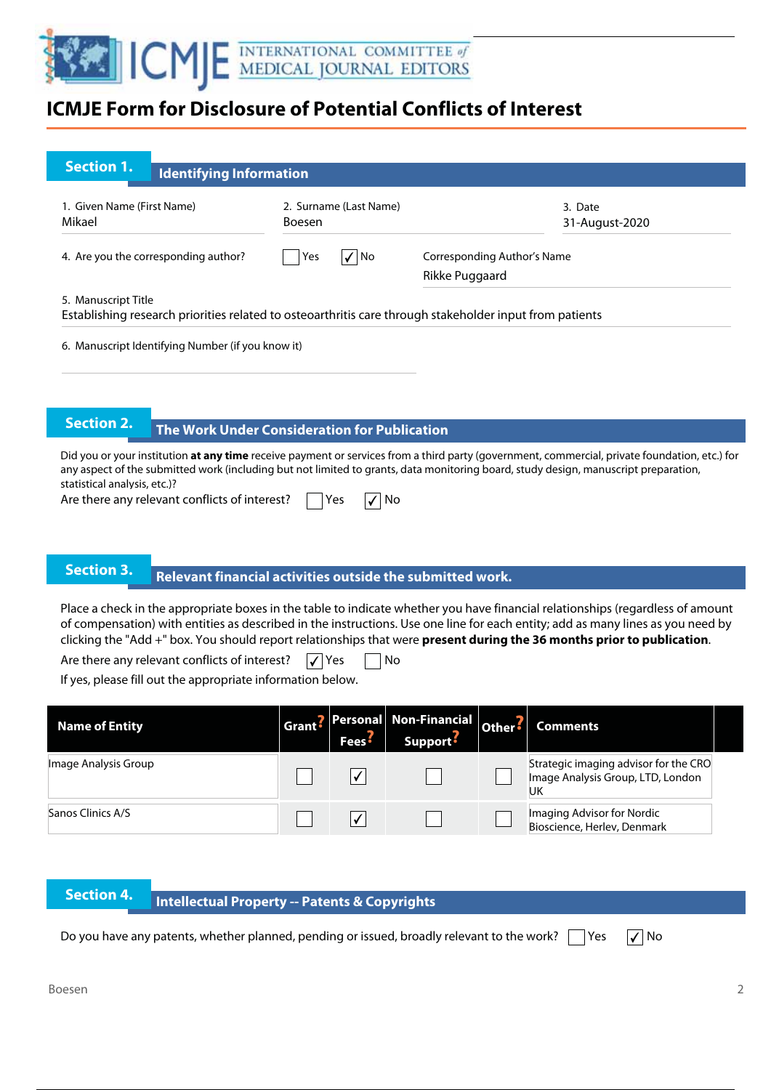

| <b>Section 1.</b>                                                             |                                                                                                         |                                                                                                                                                                                                                                                                                      |  |  |  |  |  |
|-------------------------------------------------------------------------------|---------------------------------------------------------------------------------------------------------|--------------------------------------------------------------------------------------------------------------------------------------------------------------------------------------------------------------------------------------------------------------------------------------|--|--|--|--|--|
| <b>Identifying Information</b>                                                |                                                                                                         |                                                                                                                                                                                                                                                                                      |  |  |  |  |  |
| 1. Given Name (First Name)<br>Mikael                                          | 2. Surname (Last Name)<br><b>Boesen</b>                                                                 | 3. Date<br>31-August-2020                                                                                                                                                                                                                                                            |  |  |  |  |  |
| 4. Are you the corresponding author?                                          | √∣No<br>Yes                                                                                             | Corresponding Author's Name<br>Rikke Puggaard                                                                                                                                                                                                                                        |  |  |  |  |  |
| 5. Manuscript Title                                                           | Establishing research priorities related to osteoarthritis care through stakeholder input from patients |                                                                                                                                                                                                                                                                                      |  |  |  |  |  |
| 6. Manuscript Identifying Number (if you know it)                             |                                                                                                         |                                                                                                                                                                                                                                                                                      |  |  |  |  |  |
|                                                                               |                                                                                                         |                                                                                                                                                                                                                                                                                      |  |  |  |  |  |
| <b>Section 2.</b><br><b>The Work Under Consideration for Publication</b>      |                                                                                                         |                                                                                                                                                                                                                                                                                      |  |  |  |  |  |
| statistical analysis, etc.)?<br>Are there any relevant conflicts of interest? | No<br><b>Yes</b>                                                                                        | Did you or your institution at any time receive payment or services from a third party (government, commercial, private foundation, etc.) for<br>any aspect of the submitted work (including but not limited to grants, data monitoring board, study design, manuscript preparation, |  |  |  |  |  |

### **Relevant financial activities outside the submitted work. Section 3. Relevant financial activities outside the submitted work.**

Place a check in the appropriate boxes in the table to indicate whether you have financial relationships (regardless of amount of compensation) with entities as described in the instructions. Use one line for each entity; add as many lines as you need by clicking the "Add +" box. You should report relationships that were **present during the 36 months prior to publication**.

Are there any relevant conflicts of interest?  $\Box$  Yes  $\Box$  No

If yes, please fill out the appropriate information below.

| <b>Name of Entity</b> | Fees! | Grant? Personal Non-Financial Other?<br>Support: | <b>Comments</b>                                                                   |  |
|-----------------------|-------|--------------------------------------------------|-----------------------------------------------------------------------------------|--|
| Image Analysis Group  |       |                                                  | Strategic imaging advisor for the CRO<br>Image Analysis Group, LTD, London<br>'UΚ |  |
| Sanos Clinics A/S     |       |                                                  | Imaging Advisor for Nordic<br>Bioscience, Herlev, Denmark                         |  |

**Intellectual Property -- Patents & Copyrights** 

Do you have any patents, whether planned, pending or issued, broadly relevant to the work?  $\Box$  Yes  $\Box$  No

Boesen 2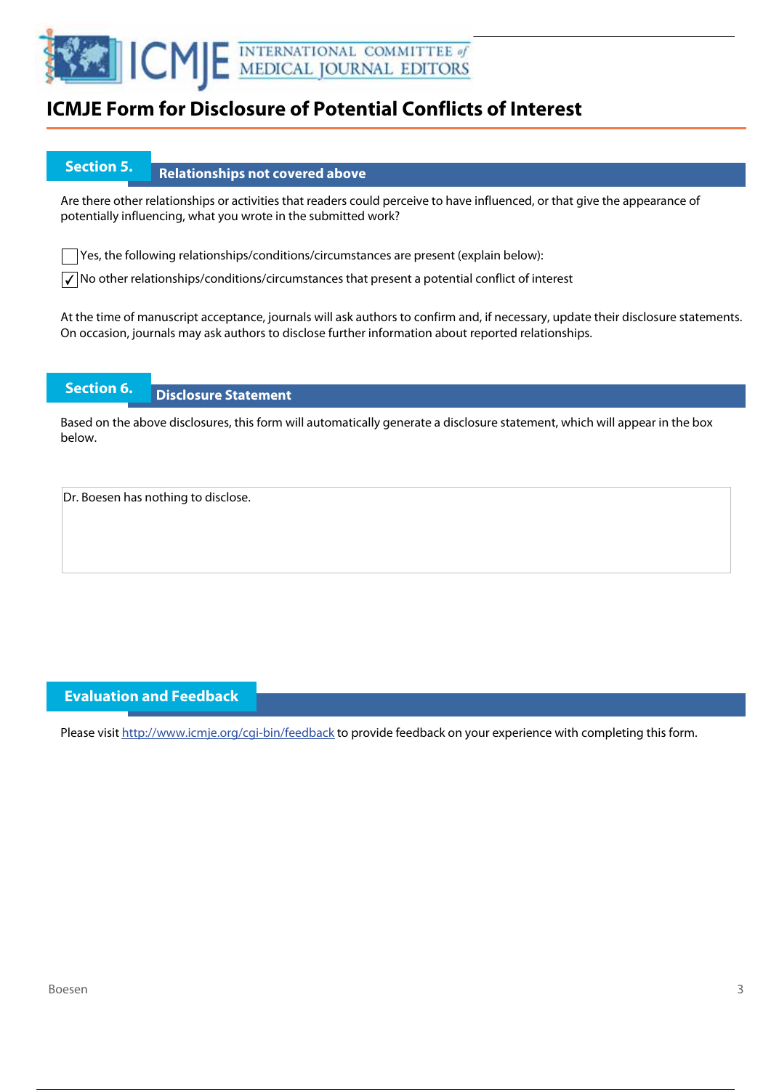

## **Section 5.** Relationships not covered above

Are there other relationships or activities that readers could perceive to have influenced, or that give the appearance of potentially influencing, what you wrote in the submitted work?

Yes, the following relationships/conditions/circumstances are present (explain below):

 $\sqrt{\sqrt{}}$  No other relationships/conditions/circumstances that present a potential conflict of interest

At the time of manuscript acceptance, journals will ask authors to confirm and, if necessary, update their disclosure statements. On occasion, journals may ask authors to disclose further information about reported relationships.

### **Section 6. Disclosure Statement**

Based on the above disclosures, this form will automatically generate a disclosure statement, which will appear in the box below.

Dr. Boesen has nothing to disclose.

### **Evaluation and Feedback**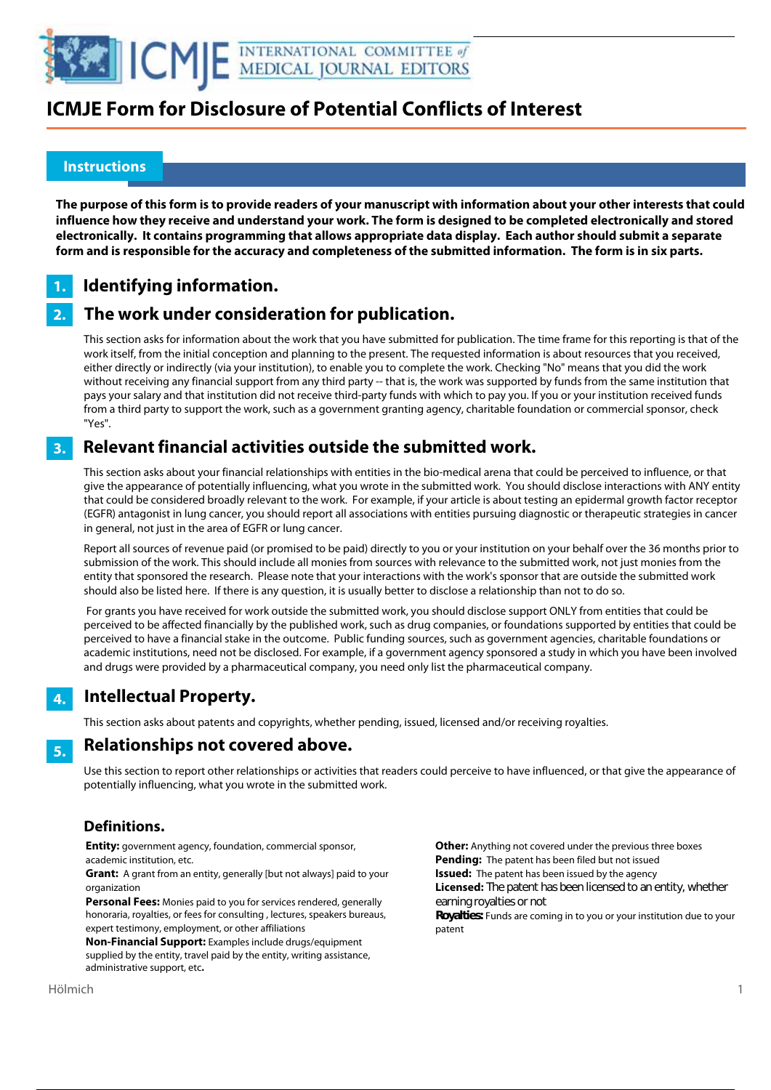

### **Instructions**

**The purpose of this form is to provide readers of your manuscript with information about your other interests that could influence how they receive and understand your work. The form is designed to be completed electronically and stored electronically. It contains programming that allows appropriate data display. Each author should submit a separate form and is responsible for the accuracy and completeness of the submitted information. The form is in six parts.** 

#### **Identifying information. 1.**

#### **The work under consideration for publication. 2.**

This section asks for information about the work that you have submitted for publication. The time frame for this reporting is that of the work itself, from the initial conception and planning to the present. The requested information is about resources that you received, either directly or indirectly (via your institution), to enable you to complete the work. Checking "No" means that you did the work without receiving any financial support from any third party -- that is, the work was supported by funds from the same institution that pays your salary and that institution did not receive third-party funds with which to pay you. If you or your institution received funds from a third party to support the work, such as a government granting agency, charitable foundation or commercial sponsor, check "Yes".

#### **Relevant financial activities outside the submitted work. 3.**

This section asks about your financial relationships with entities in the bio-medical arena that could be perceived to influence, or that give the appearance of potentially influencing, what you wrote in the submitted work. You should disclose interactions with ANY entity that could be considered broadly relevant to the work. For example, if your article is about testing an epidermal growth factor receptor (EGFR) antagonist in lung cancer, you should report all associations with entities pursuing diagnostic or therapeutic strategies in cancer in general, not just in the area of EGFR or lung cancer.

Report all sources of revenue paid (or promised to be paid) directly to you or your institution on your behalf over the 36 months prior to submission of the work. This should include all monies from sources with relevance to the submitted work, not just monies from the entity that sponsored the research. Please note that your interactions with the work's sponsor that are outside the submitted work should also be listed here. If there is any question, it is usually better to disclose a relationship than not to do so.

 For grants you have received for work outside the submitted work, you should disclose support ONLY from entities that could be perceived to be affected financially by the published work, such as drug companies, or foundations supported by entities that could be perceived to have a financial stake in the outcome. Public funding sources, such as government agencies, charitable foundations or academic institutions, need not be disclosed. For example, if a government agency sponsored a study in which you have been involved and drugs were provided by a pharmaceutical company, you need only list the pharmaceutical company.

#### **Intellectual Property. 4.**

This section asks about patents and copyrights, whether pending, issued, licensed and/or receiving royalties.

#### **Relationships not covered above. 5.**

Use this section to report other relationships or activities that readers could perceive to have influenced, or that give the appearance of potentially influencing, what you wrote in the submitted work.

### **Definitions.**

**Entity:** government agency, foundation, commercial sponsor, academic institution, etc.

**Grant:** A grant from an entity, generally [but not always] paid to your organization

**Personal Fees:** Monies paid to you for services rendered, generally honoraria, royalties, or fees for consulting , lectures, speakers bureaus, expert testimony, employment, or other affiliations

**Non-Financial Support:** Examples include drugs/equipment supplied by the entity, travel paid by the entity, writing assistance, administrative support, etc**.**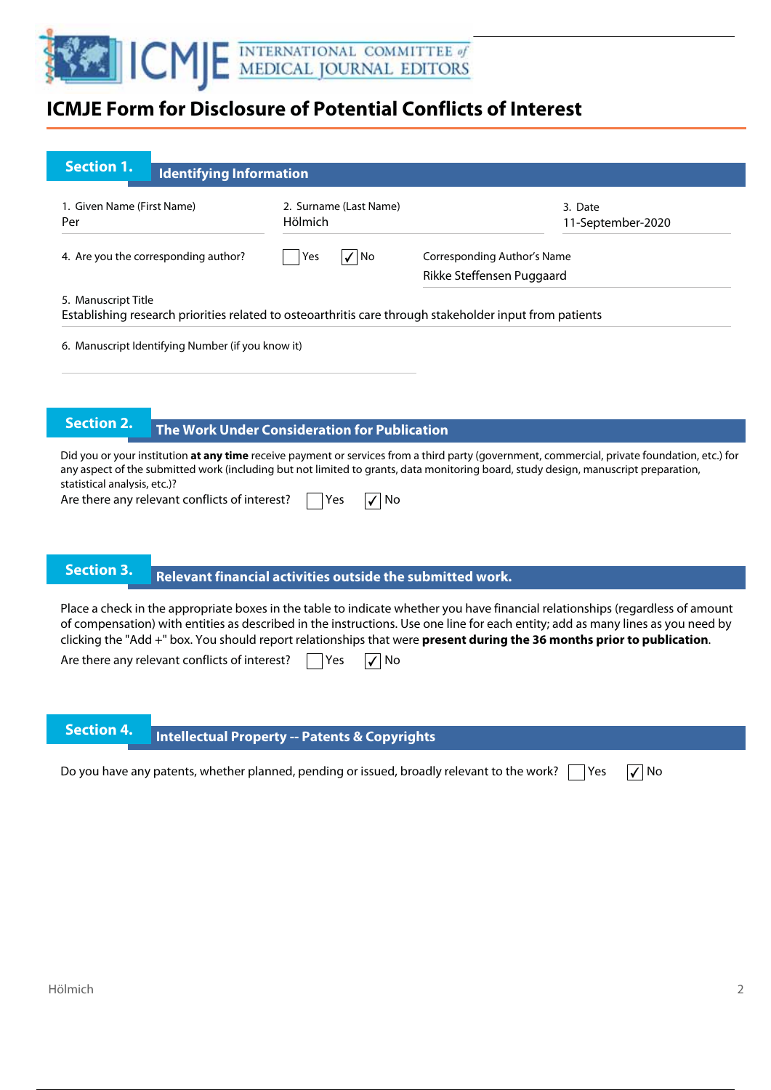

| <b>Section 1.</b><br><b>Identifying Information</b>                                                                                                                                                                                                                                                                                                                                                                                                       |                                                           |                                                          |  |  |  |
|-----------------------------------------------------------------------------------------------------------------------------------------------------------------------------------------------------------------------------------------------------------------------------------------------------------------------------------------------------------------------------------------------------------------------------------------------------------|-----------------------------------------------------------|----------------------------------------------------------|--|--|--|
| 1. Given Name (First Name)<br>Per                                                                                                                                                                                                                                                                                                                                                                                                                         | 2. Surname (Last Name)<br>Hölmich                         | 3. Date<br>11-September-2020                             |  |  |  |
| 4. Are you the corresponding author?                                                                                                                                                                                                                                                                                                                                                                                                                      | No<br>Yes                                                 | Corresponding Author's Name<br>Rikke Steffensen Puggaard |  |  |  |
| 5. Manuscript Title<br>Establishing research priorities related to osteoarthritis care through stakeholder input from patients                                                                                                                                                                                                                                                                                                                            |                                                           |                                                          |  |  |  |
| 6. Manuscript Identifying Number (if you know it)                                                                                                                                                                                                                                                                                                                                                                                                         |                                                           |                                                          |  |  |  |
|                                                                                                                                                                                                                                                                                                                                                                                                                                                           |                                                           |                                                          |  |  |  |
| <b>Section 2.</b>                                                                                                                                                                                                                                                                                                                                                                                                                                         | The Work Under Consideration for Publication              |                                                          |  |  |  |
| Did you or your institution at any time receive payment or services from a third party (government, commercial, private foundation, etc.) for<br>any aspect of the submitted work (including but not limited to grants, data monitoring board, study design, manuscript preparation,<br>statistical analysis, etc.)?<br>Are there any relevant conflicts of interest?<br>No<br>Yes                                                                        |                                                           |                                                          |  |  |  |
| <b>Section 3.</b>                                                                                                                                                                                                                                                                                                                                                                                                                                         | Relevant financial activities outside the submitted work. |                                                          |  |  |  |
| Place a check in the appropriate boxes in the table to indicate whether you have financial relationships (regardless of amount<br>of compensation) with entities as described in the instructions. Use one line for each entity; add as many lines as you need by<br>clicking the "Add +" box. You should report relationships that were present during the 36 months prior to publication.<br>Are there any relevant conflicts of interest?<br>No<br>Yes |                                                           |                                                          |  |  |  |
| <b>Section 4.</b>                                                                                                                                                                                                                                                                                                                                                                                                                                         | <b>Intellectual Property -- Patents &amp; Copyrights</b>  |                                                          |  |  |  |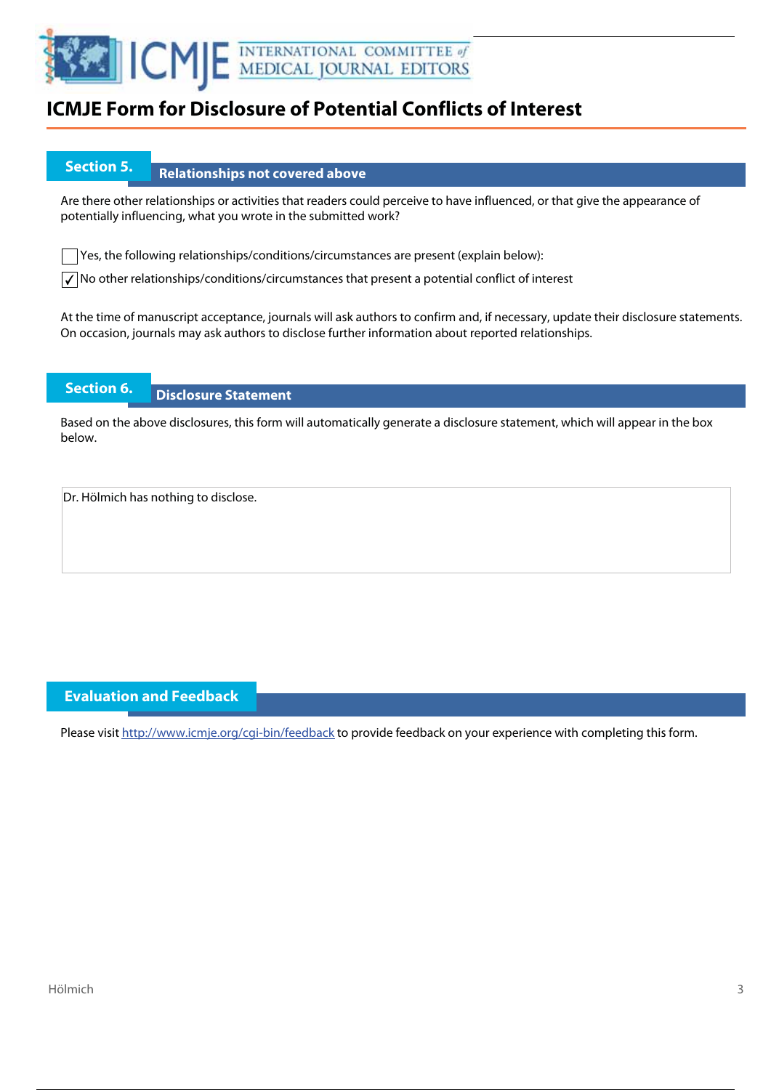

## **Section 5.** Relationships not covered above

Are there other relationships or activities that readers could perceive to have influenced, or that give the appearance of potentially influencing, what you wrote in the submitted work?

Yes, the following relationships/conditions/circumstances are present (explain below):

 $\sqrt{\sqrt{}}$  No other relationships/conditions/circumstances that present a potential conflict of interest

At the time of manuscript acceptance, journals will ask authors to confirm and, if necessary, update their disclosure statements. On occasion, journals may ask authors to disclose further information about reported relationships.

### **Section 6. Disclosure Statement**

Based on the above disclosures, this form will automatically generate a disclosure statement, which will appear in the box below.

Dr. Hölmich has nothing to disclose.

### **Evaluation and Feedback**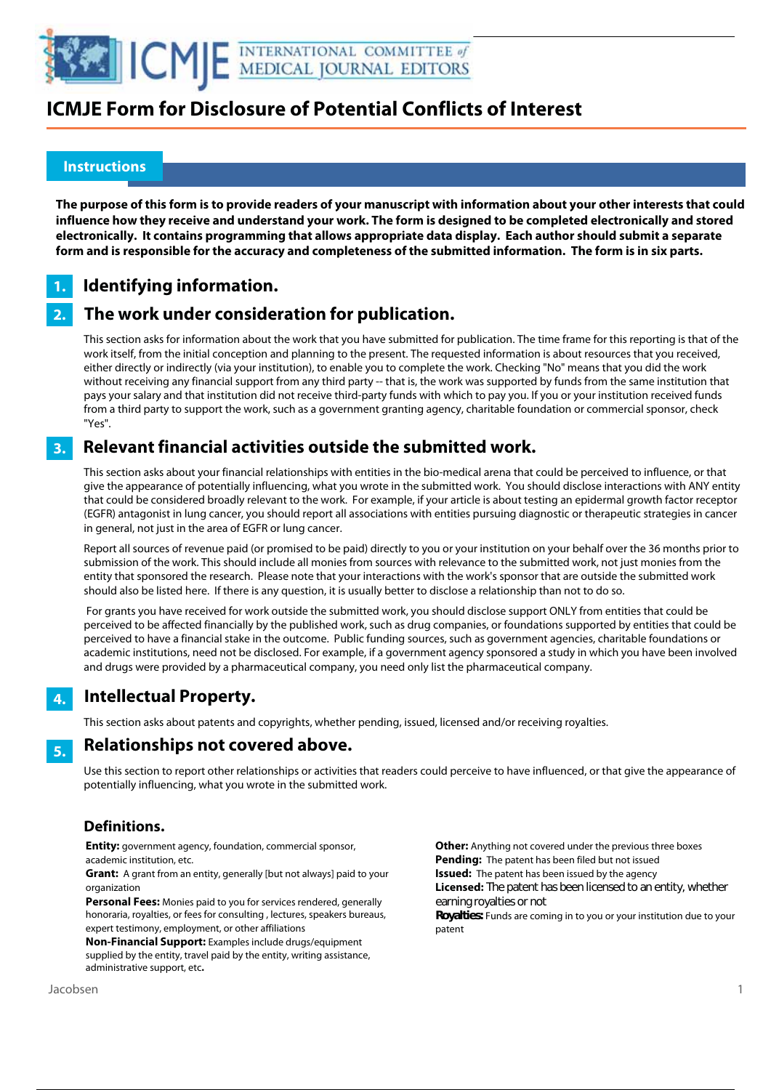

### **Instructions**

**The purpose of this form is to provide readers of your manuscript with information about your other interests that could influence how they receive and understand your work. The form is designed to be completed electronically and stored electronically. It contains programming that allows appropriate data display. Each author should submit a separate form and is responsible for the accuracy and completeness of the submitted information. The form is in six parts.** 

#### **Identifying information. 1.**

#### **The work under consideration for publication. 2.**

This section asks for information about the work that you have submitted for publication. The time frame for this reporting is that of the work itself, from the initial conception and planning to the present. The requested information is about resources that you received, either directly or indirectly (via your institution), to enable you to complete the work. Checking "No" means that you did the work without receiving any financial support from any third party -- that is, the work was supported by funds from the same institution that pays your salary and that institution did not receive third-party funds with which to pay you. If you or your institution received funds from a third party to support the work, such as a government granting agency, charitable foundation or commercial sponsor, check "Yes".

#### **Relevant financial activities outside the submitted work. 3.**

This section asks about your financial relationships with entities in the bio-medical arena that could be perceived to influence, or that give the appearance of potentially influencing, what you wrote in the submitted work. You should disclose interactions with ANY entity that could be considered broadly relevant to the work. For example, if your article is about testing an epidermal growth factor receptor (EGFR) antagonist in lung cancer, you should report all associations with entities pursuing diagnostic or therapeutic strategies in cancer in general, not just in the area of EGFR or lung cancer.

Report all sources of revenue paid (or promised to be paid) directly to you or your institution on your behalf over the 36 months prior to submission of the work. This should include all monies from sources with relevance to the submitted work, not just monies from the entity that sponsored the research. Please note that your interactions with the work's sponsor that are outside the submitted work should also be listed here. If there is any question, it is usually better to disclose a relationship than not to do so.

 For grants you have received for work outside the submitted work, you should disclose support ONLY from entities that could be perceived to be affected financially by the published work, such as drug companies, or foundations supported by entities that could be perceived to have a financial stake in the outcome. Public funding sources, such as government agencies, charitable foundations or academic institutions, need not be disclosed. For example, if a government agency sponsored a study in which you have been involved and drugs were provided by a pharmaceutical company, you need only list the pharmaceutical company.

#### **Intellectual Property. 4.**

This section asks about patents and copyrights, whether pending, issued, licensed and/or receiving royalties.

#### **Relationships not covered above. 5.**

Use this section to report other relationships or activities that readers could perceive to have influenced, or that give the appearance of potentially influencing, what you wrote in the submitted work.

### **Definitions.**

**Entity:** government agency, foundation, commercial sponsor, academic institution, etc.

**Grant:** A grant from an entity, generally [but not always] paid to your organization

**Personal Fees:** Monies paid to you for services rendered, generally honoraria, royalties, or fees for consulting , lectures, speakers bureaus, expert testimony, employment, or other affiliations

**Non-Financial Support:** Examples include drugs/equipment supplied by the entity, travel paid by the entity, writing assistance, administrative support, etc**.**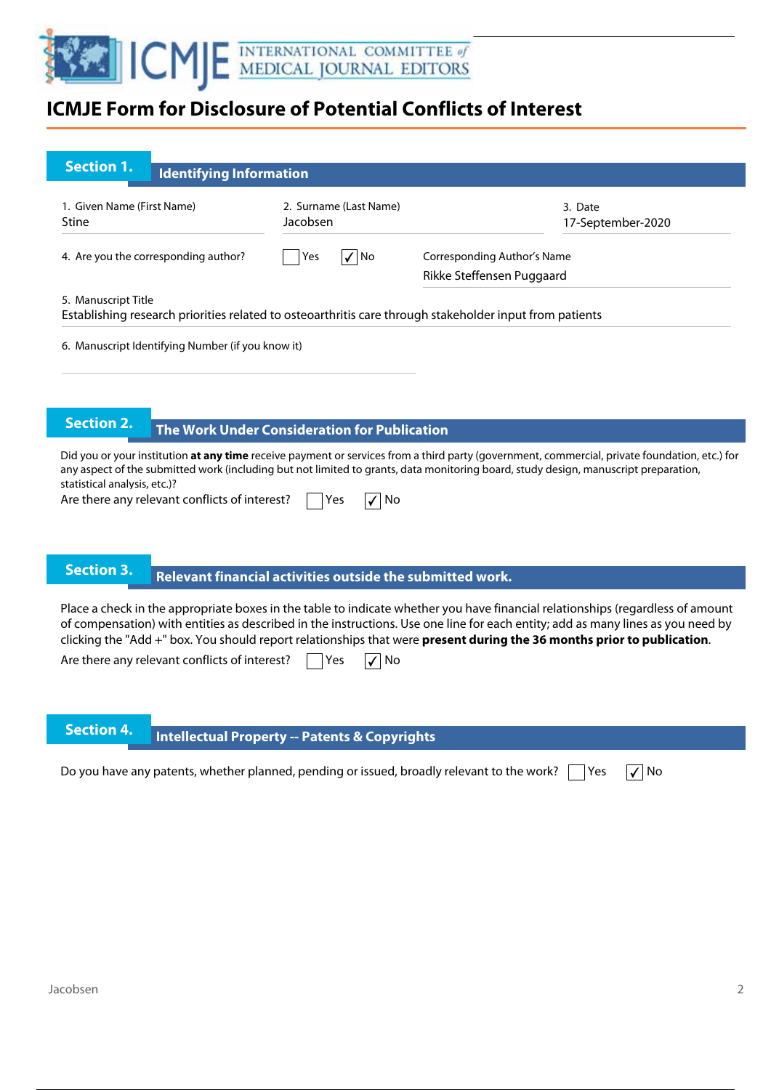

| <b>Section 1.</b><br><b>Identifying Information</b>                                                                                                                                                                                                                                                                                                                                                                                                       |                                                           |                                                          |  |  |  |
|-----------------------------------------------------------------------------------------------------------------------------------------------------------------------------------------------------------------------------------------------------------------------------------------------------------------------------------------------------------------------------------------------------------------------------------------------------------|-----------------------------------------------------------|----------------------------------------------------------|--|--|--|
| 1. Given Name (First Name)<br><b>Stine</b>                                                                                                                                                                                                                                                                                                                                                                                                                | 2. Surname (Last Name)<br>Jacobsen                        | 3. Date<br>17-September-2020                             |  |  |  |
| 4. Are you the corresponding author?                                                                                                                                                                                                                                                                                                                                                                                                                      | Yes<br>No                                                 | Corresponding Author's Name<br>Rikke Steffensen Puggaard |  |  |  |
| 5. Manuscript Title<br>Establishing research priorities related to osteoarthritis care through stakeholder input from patients                                                                                                                                                                                                                                                                                                                            |                                                           |                                                          |  |  |  |
| 6. Manuscript Identifying Number (if you know it)                                                                                                                                                                                                                                                                                                                                                                                                         |                                                           |                                                          |  |  |  |
|                                                                                                                                                                                                                                                                                                                                                                                                                                                           |                                                           |                                                          |  |  |  |
| <b>Section 2.</b>                                                                                                                                                                                                                                                                                                                                                                                                                                         | <b>The Work Under Consideration for Publication</b>       |                                                          |  |  |  |
| Did you or your institution at any time receive payment or services from a third party (government, commercial, private foundation, etc.) for<br>any aspect of the submitted work (including but not limited to grants, data monitoring board, study design, manuscript preparation,<br>statistical analysis, etc.)?<br>Are there any relevant conflicts of interest?<br>No<br>Yes                                                                        |                                                           |                                                          |  |  |  |
| <b>Section 3.</b>                                                                                                                                                                                                                                                                                                                                                                                                                                         | Relevant financial activities outside the submitted work. |                                                          |  |  |  |
| Place a check in the appropriate boxes in the table to indicate whether you have financial relationships (regardless of amount<br>of compensation) with entities as described in the instructions. Use one line for each entity; add as many lines as you need by<br>clicking the "Add +" box. You should report relationships that were present during the 36 months prior to publication.<br>Are there any relevant conflicts of interest?<br>No<br>Yes |                                                           |                                                          |  |  |  |
| <b>Section 4.</b>                                                                                                                                                                                                                                                                                                                                                                                                                                         | <b>Intellectual Property -- Patents &amp; Copyrights</b>  |                                                          |  |  |  |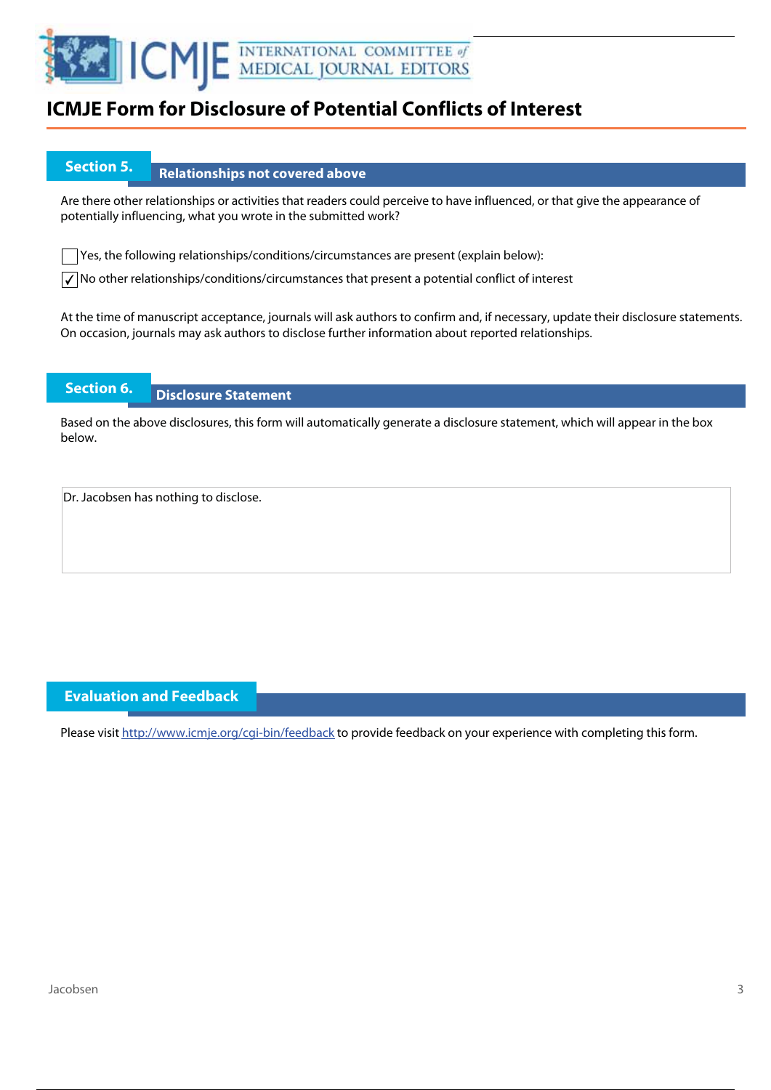

## **Section 5.** Relationships not covered above

Are there other relationships or activities that readers could perceive to have influenced, or that give the appearance of potentially influencing, what you wrote in the submitted work?

Yes, the following relationships/conditions/circumstances are present (explain below):

 $\sqrt{\sqrt{}}$  No other relationships/conditions/circumstances that present a potential conflict of interest

At the time of manuscript acceptance, journals will ask authors to confirm and, if necessary, update their disclosure statements. On occasion, journals may ask authors to disclose further information about reported relationships.

### **Section 6. Disclosure Statement**

Based on the above disclosures, this form will automatically generate a disclosure statement, which will appear in the box below.

Dr. Jacobsen has nothing to disclose.

### **Evaluation and Feedback**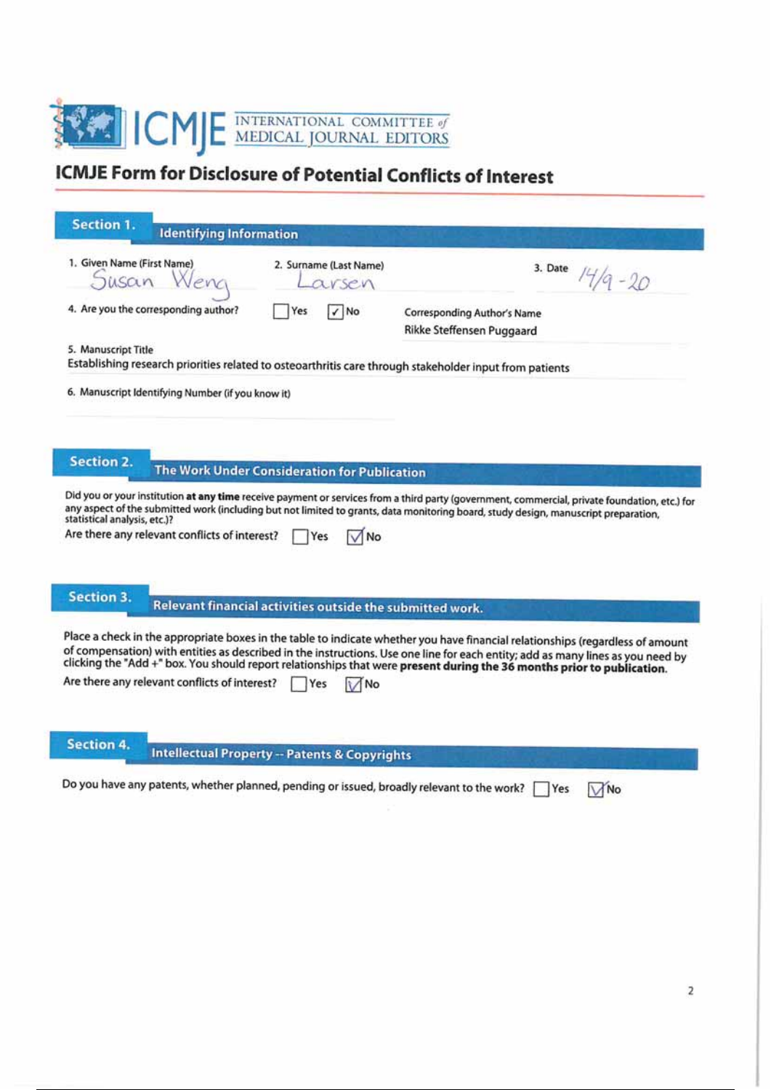

| Section 1.                                        | <b>Identifying Information</b>                    |                                                                                            |                                                                                                                                                                                                                                                                                                                                                                                             |
|---------------------------------------------------|---------------------------------------------------|--------------------------------------------------------------------------------------------|---------------------------------------------------------------------------------------------------------------------------------------------------------------------------------------------------------------------------------------------------------------------------------------------------------------------------------------------------------------------------------------------|
| 1. Given Name (First Name)<br>Susan               |                                                   | 2. Surname (Last Name)<br>arsen                                                            | 3. Date $14/9 - 20$                                                                                                                                                                                                                                                                                                                                                                         |
|                                                   | 4. Are you the corresponding author?              | Yes<br>$\sqrt{}$ No                                                                        | Corresponding Author's Name<br>Rikke Steffensen Puggaard                                                                                                                                                                                                                                                                                                                                    |
| 5. Manuscript Title                               |                                                   |                                                                                            | Establishing research priorities related to osteoarthritis care through stakeholder input from patients                                                                                                                                                                                                                                                                                     |
|                                                   | 6. Manuscript Identifying Number (if you know it) |                                                                                            |                                                                                                                                                                                                                                                                                                                                                                                             |
| <b>Section 2.</b><br>statistical analysis, etc.)? | Are there any relevant conflicts of interest?     | The Work Under Consideration for Publication<br>No<br>Yes                                  | Did you or your institution at any time receive payment or services from a third party (government, commercial, private foundation, etc.) for<br>any aspect of the submitted work (including but not limited to grants, data monitoring board, study design, manuscript preparation,                                                                                                        |
| <b>Section 3.</b>                                 |                                                   | Relevant financial activities outside the submitted work.                                  |                                                                                                                                                                                                                                                                                                                                                                                             |
|                                                   | Are there any relevant conflicts of interest?     | No<br>Yes                                                                                  | Place a check in the appropriate boxes in the table to indicate whether you have financial relationships (regardless of amount<br>of compensation) with entities as described in the instructions. Use one line for each entity; add as many lines as you need by<br>clicking the "Add +" box. You should report relationships that were present during the 36 months prior to publication. |
| <b>Section 4.</b>                                 |                                                   | <b>Intellectual Property -- Patents &amp; Copyrights</b>                                   |                                                                                                                                                                                                                                                                                                                                                                                             |
|                                                   |                                                   | Do you have any patents, whether planned, pending or issued, broadly relevant to the work? | Yes<br>No                                                                                                                                                                                                                                                                                                                                                                                   |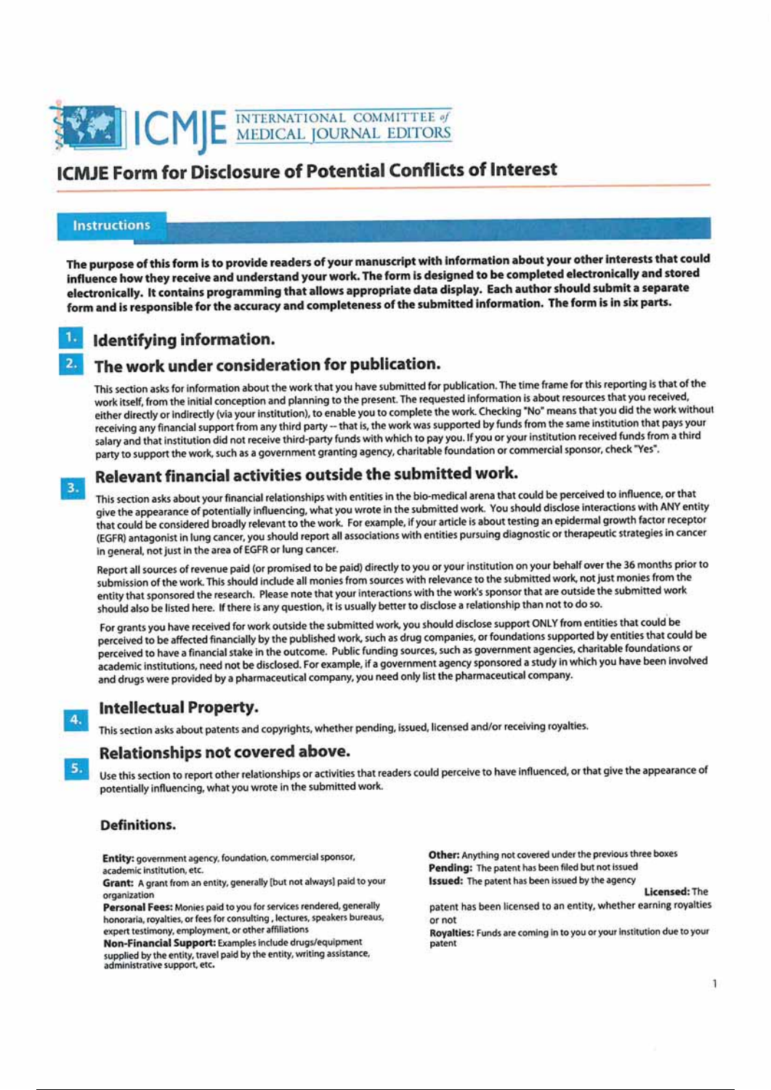

### **Instructions**

The purpose of this form is to provide readers of your manuscript with information about your other interests that could influence how they receive and understand your work. The form is designed to be completed electronically and stored electronically. It contains programming that allows appropriate data display. Each author should submit a separate form and is responsible for the accuracy and completeness of the submitted information. The form is in six parts.

### Identifying information.

### The work under consideration for publication.

This section asks for information about the work that you have submitted for publication. The time frame for this reporting is that of the work itself, from the initial conception and planning to the present. The requested information is about resources that you received, either directly or indirectly (via your institution), to enable you to complete the work. Checking "No" means that you did the work without receiving any financial support from any third party -- that is, the work was supported by funds from the same institution that pays your salary and that institution did not receive third-party funds with which to pay you. If you or your institution received funds from a third party to support the work, such as a government granting agency, charitable foundation or commercial sponsor, check "Yes".

### Relevant financial activities outside the submitted work.

This section asks about your financial relationships with entities in the bio-medical arena that could be perceived to influence, or that give the appearance of potentially influencing, what you wrote in the submitted work. You should disclose interactions with ANY entity give the appearance of potentially influencing, what you wrote in the submitted work. Y that could be considered broadly relevant to the work. For example, if your article is about testing an epidermal growth factor receptor (EGFR) antagonist in lung cancer, you should report all associations with entities pursuing diagnostic or therapeutic strategies in cancer in general, not just in the area of EGFR or lung cancer.

Report all sources of revenue paid (or promised to be paid) directly to you or your institution on your behalf over the 36 months prior to submission of the work. This should include all monies from sources with relevance to the submitted work, not just monies from the entity that sponsored the research. Please note that your interactions with the work's sponsor that are outside the submitted work should also be listed here. If there is any question, it is usually better to disclose a relationship than not to do so.

For grants you have received for work outside the submitted work, you should disclose support ONLY from entities that could be perceived to be affected financially by the published work, such as drug companies, or foundations supported by entities that could be perceived to be affected financially by the published work, such as drug companies, or perceived to be alrected maricially by the public funding sources, such as government agencies, charitable foundations or academic institutions, need not be disclosed. For example, if a government agency sponsored a study in which you have been involved acquering institutions, need not be disclosed. For example, it is good and drugs were provided by a pharmaceutical company, you need only list the pharmaceutical company.

### **Intellectual Property.**

This section asks about patents and copyrights, whether pending, issued, licensed and/or receiving royalties.

### Relationships not covered above.

Use this section to report other relationships or activities that readers could perceive to have influenced, or that give the appearance of potentially influencing, what you wrote in the submitted work.

### **Definitions.**

Entity: government agency, foundation, commercial sponsor, academic institution, etc.

Grant: A grant from an entity, generally [but not always] paid to your organization

Personal Fees: Monies paid to you for services rendered, generally honoraria, royalties, or fees for consulting, lectures, speakers bureaus, expert testimony, employment, or other affiliations

Non-Financial Support: Examples include drugs/equipment supplied by the entity, travel paid by the entity, writing assistance, administrative support, etc.

Other: Anything not covered under the previous three boxes Pending: The patent has been filed but not issued Issued: The patent has been issued by the agency

Licensed: The

patent has been licensed to an entity, whether earning royalties or not

Royalties: Funds are coming in to you or your institution due to your patent

4.

 $3.$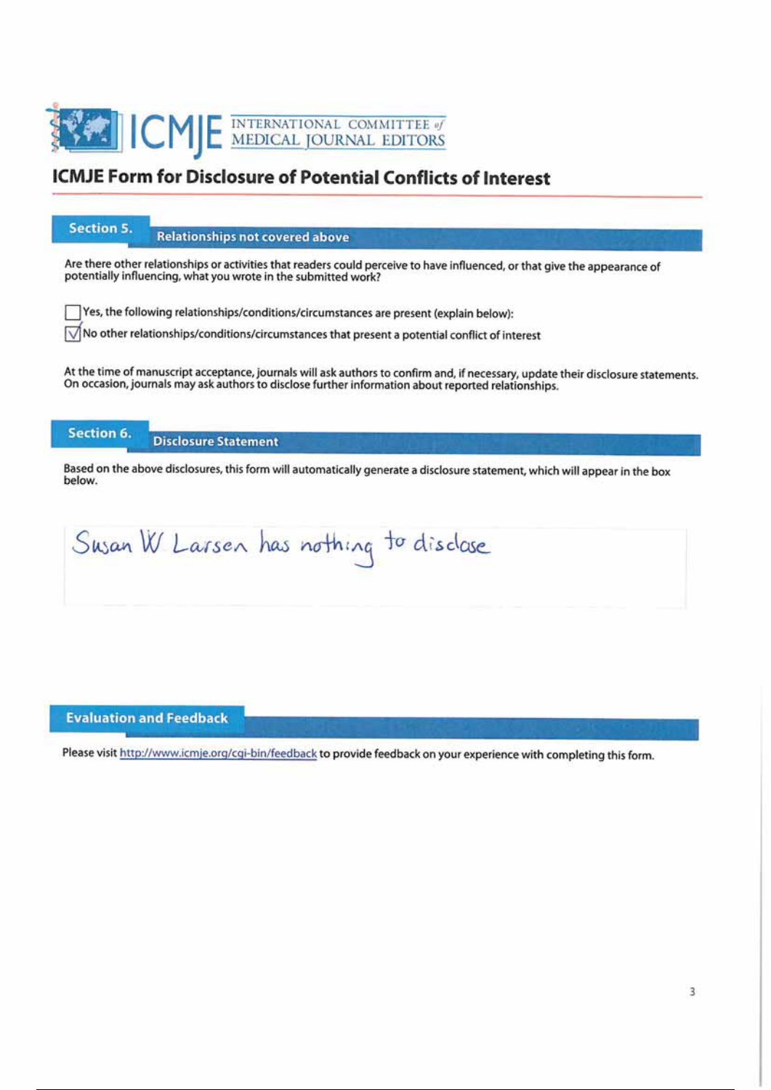

#### **Section 5. Relationships not covered above**

Are there other relationships or activities that readers could perceive to have influenced, or that give the appearance of potentially influencing, what you wrote in the submitted work?

Yes, the following relationships/conditions/circumstances are present (explain below):

 $\sqrt{}$  No other relationships/conditions/circumstances that present a potential conflict of interest

At the time of manuscript acceptance, journals will ask authors to confirm and, if necessary, update their disclosure statements. On occasion, journals may ask authors to disclose further information about reported relationships.

#### **Section 6. Disclosure Statement**

Based on the above disclosures, this form will automatically generate a disclosure statement, which will appear in the box below.

Susan W Larsen has nothing to disclose

### **Evaluation and Feedback**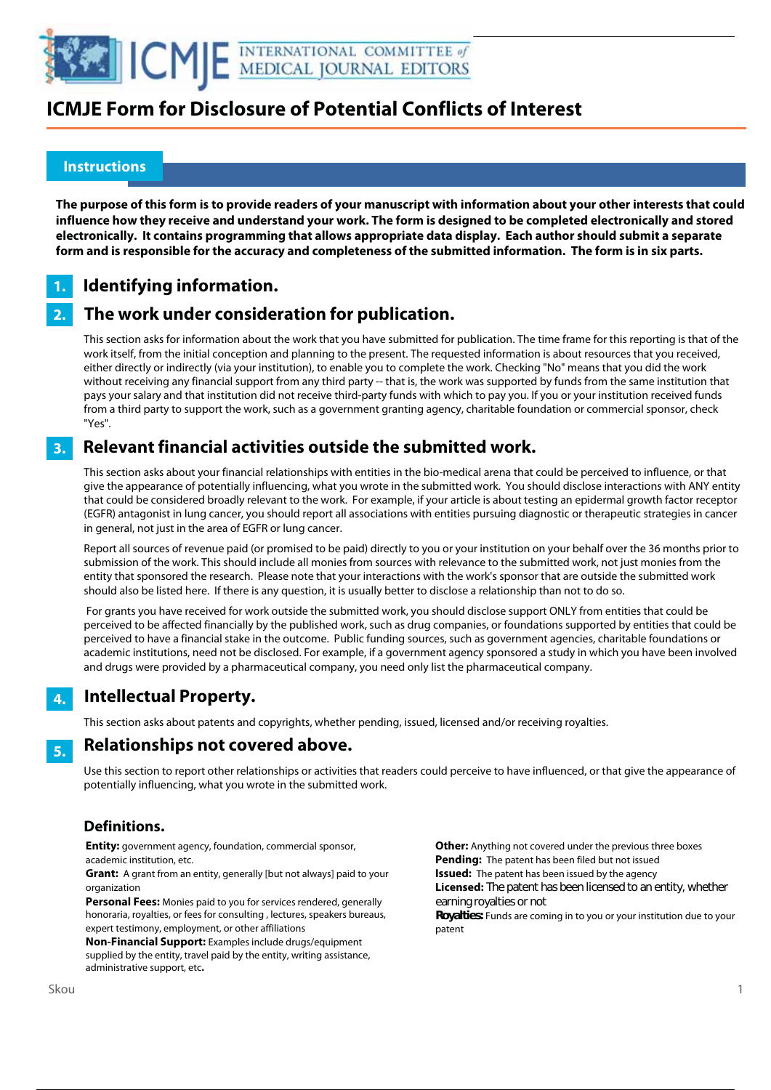

### **Instructions**

**The purpose of this form is to provide readers of your manuscript with information about your other interests that could influence how they receive and understand your work. The form is designed to be completed electronically and stored electronically. It contains programming that allows appropriate data display. Each author should submit a separate form and is responsible for the accuracy and completeness of the submitted information. The form is in six parts.** 

#### **Identifying information. 1.**

#### **The work under consideration for publication. 2.**

This section asks for information about the work that you have submitted for publication. The time frame for this reporting is that of the work itself, from the initial conception and planning to the present. The requested information is about resources that you received, either directly or indirectly (via your institution), to enable you to complete the work. Checking "No" means that you did the work without receiving any financial support from any third party -- that is, the work was supported by funds from the same institution that pays your salary and that institution did not receive third-party funds with which to pay you. If you or your institution received funds from a third party to support the work, such as a government granting agency, charitable foundation or commercial sponsor, check "Yes".

#### **Relevant financial activities outside the submitted work. 3.**

This section asks about your financial relationships with entities in the bio-medical arena that could be perceived to influence, or that give the appearance of potentially influencing, what you wrote in the submitted work. You should disclose interactions with ANY entity that could be considered broadly relevant to the work. For example, if your article is about testing an epidermal growth factor receptor (EGFR) antagonist in lung cancer, you should report all associations with entities pursuing diagnostic or therapeutic strategies in cancer in general, not just in the area of EGFR or lung cancer.

Report all sources of revenue paid (or promised to be paid) directly to you or your institution on your behalf over the 36 months prior to submission of the work. This should include all monies from sources with relevance to the submitted work, not just monies from the entity that sponsored the research. Please note that your interactions with the work's sponsor that are outside the submitted work should also be listed here. If there is any question, it is usually better to disclose a relationship than not to do so.

 For grants you have received for work outside the submitted work, you should disclose support ONLY from entities that could be perceived to be affected financially by the published work, such as drug companies, or foundations supported by entities that could be perceived to have a financial stake in the outcome. Public funding sources, such as government agencies, charitable foundations or academic institutions, need not be disclosed. For example, if a government agency sponsored a study in which you have been involved and drugs were provided by a pharmaceutical company, you need only list the pharmaceutical company.

### **Intellectual Property. 4.**

This section asks about patents and copyrights, whether pending, issued, licensed and/or receiving royalties.

#### **Relationships not covered above. 5.**

Use this section to report other relationships or activities that readers could perceive to have influenced, or that give the appearance of potentially influencing, what you wrote in the submitted work.

### **Definitions.**

**Entity:** government agency, foundation, commercial sponsor, academic institution, etc.

**Grant:** A grant from an entity, generally [but not always] paid to your organization

**Personal Fees:** Monies paid to you for services rendered, generally honoraria, royalties, or fees for consulting , lectures, speakers bureaus, expert testimony, employment, or other affiliations

**Non-Financial Support:** Examples include drugs/equipment supplied by the entity, travel paid by the entity, writing assistance, administrative support, etc**.**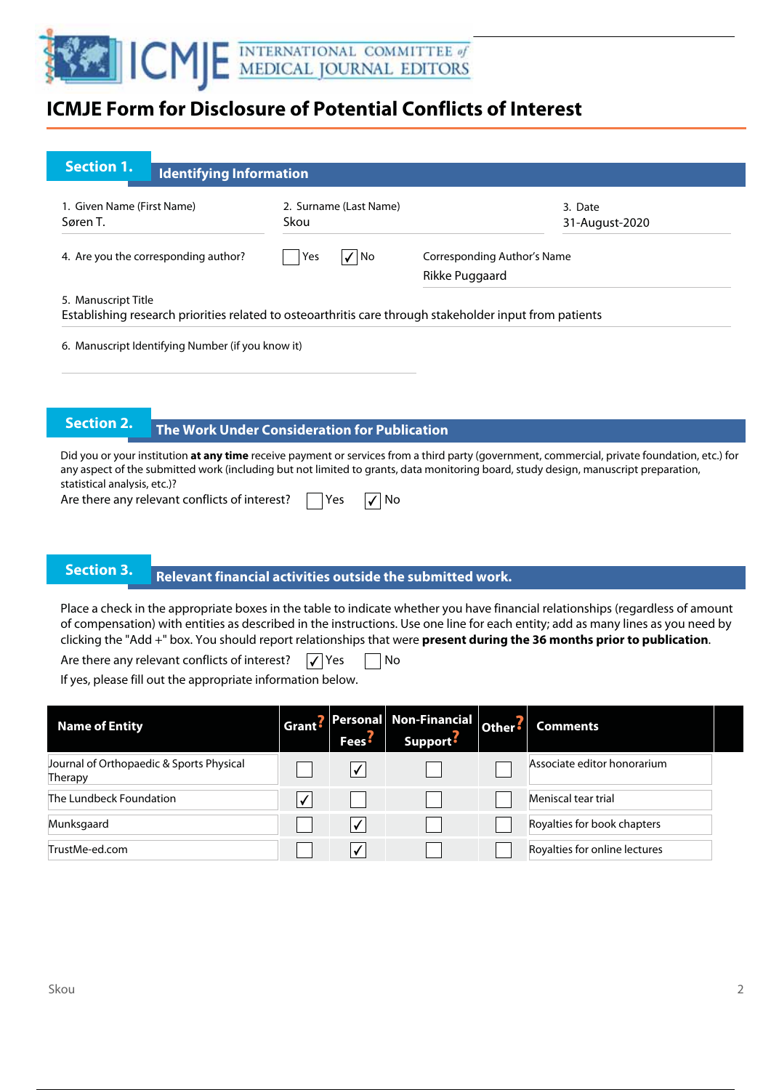

| <b>Section 1.</b>                                                                                                                                                                                                                                                                                                    | <b>Identifying Information</b>                      |      |                        |                                               |                           |
|----------------------------------------------------------------------------------------------------------------------------------------------------------------------------------------------------------------------------------------------------------------------------------------------------------------------|-----------------------------------------------------|------|------------------------|-----------------------------------------------|---------------------------|
| 1. Given Name (First Name)<br>Søren T.                                                                                                                                                                                                                                                                               |                                                     | Skou | 2. Surname (Last Name) |                                               | 3. Date<br>31-August-2020 |
|                                                                                                                                                                                                                                                                                                                      | 4. Are you the corresponding author?                | Yes  | $\sqrt{ N_{0} }$       | Corresponding Author's Name<br>Rikke Puggaard |                           |
| 5. Manuscript Title<br>Establishing research priorities related to osteoarthritis care through stakeholder input from patients                                                                                                                                                                                       |                                                     |      |                        |                                               |                           |
|                                                                                                                                                                                                                                                                                                                      | 6. Manuscript Identifying Number (if you know it)   |      |                        |                                               |                           |
|                                                                                                                                                                                                                                                                                                                      |                                                     |      |                        |                                               |                           |
| <b>Section 2.</b>                                                                                                                                                                                                                                                                                                    | <b>The Work Under Consideration for Publication</b> |      |                        |                                               |                           |
| Did you or your institution at any time receive payment or services from a third party (government, commercial, private foundation, etc.) for<br>any aspect of the submitted work (including but not limited to grants, data monitoring board, study design, manuscript preparation,<br>statistical analysis, etc.)? |                                                     |      |                        |                                               |                           |

| Are there any relevant conflicts of interest? |  | Yes |
|-----------------------------------------------|--|-----|
|-----------------------------------------------|--|-----|

## **Relevant financial activities outside the submitted work. Section 3. Relevant financial activities outside the submitted work.**

Place a check in the appropriate boxes in the table to indicate whether you have financial relationships (regardless of amount of compensation) with entities as described in the instructions. Use one line for each entity; add as many lines as you need by clicking the "Add +" box. You should report relationships that were **present during the 36 months prior to publication**.

 $\sqrt{\phantom{a}}$  No

Are there any relevant conflicts of interest?  $\Box$  Yes  $\Box$  No

If yes, please fill out the appropriate information below.

| <b>Name of Entity</b>                               | Grant? | Fees! | <b>Personal Non-Financial</b><br>Support : | $ $ Other ? | <b>Comments</b>               |  |
|-----------------------------------------------------|--------|-------|--------------------------------------------|-------------|-------------------------------|--|
| Journal of Orthopaedic & Sports Physical<br>Therapy |        | ✓     |                                            |             | Associate editor honorarium   |  |
| The Lundbeck Foundation                             |        |       |                                            |             | Meniscal tear trial           |  |
| Munksgaard                                          |        | √     |                                            |             | Royalties for book chapters   |  |
| TrustMe-ed.com                                      |        | √     |                                            |             | Royalties for online lectures |  |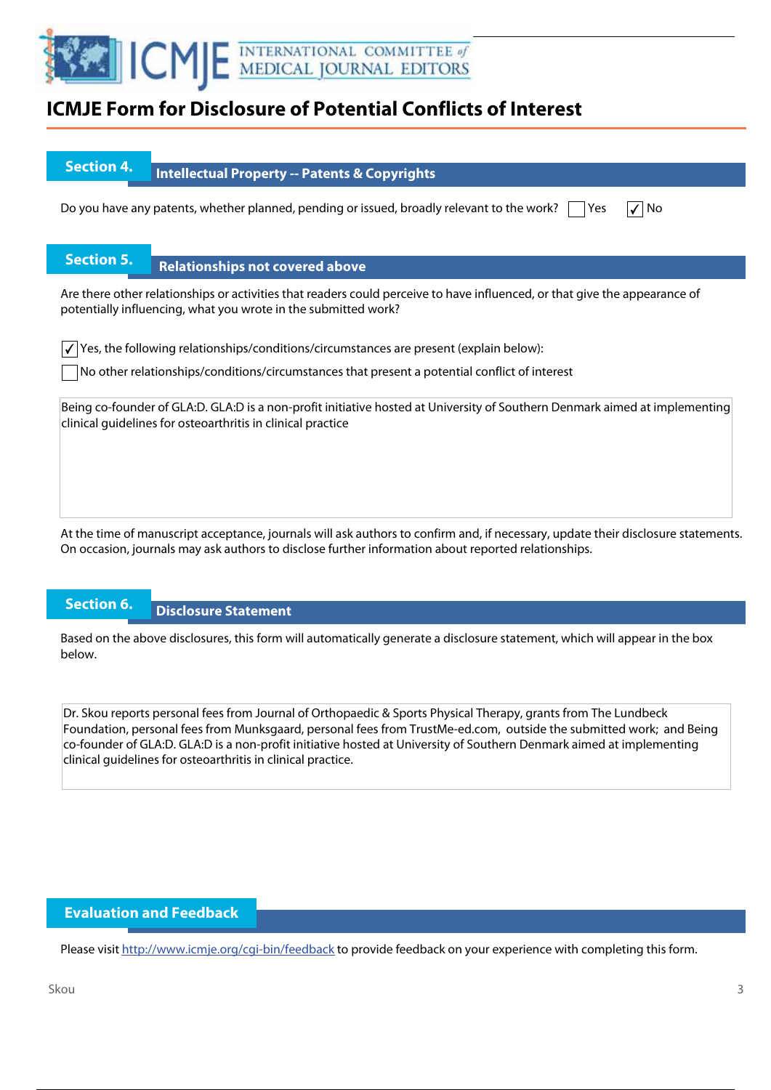

## **Intellectual Property -- Patents & Copyrights**

Do you have any patents, whether planned, pending or issued, broadly relevant to the work?  $\Box$  Yes  $\Box$  No

### **Section 5.** Relationships not covered above

Are there other relationships or activities that readers could perceive to have influenced, or that give the appearance of potentially influencing, what you wrote in the submitted work?

 $\sqrt{\sqrt{ }}$  Yes, the following relationships/conditions/circumstances are present (explain below):

No other relationships/conditions/circumstances that present a potential conflict of interest

Being co-founder of GLA:D. GLA:D is a non-profit initiative hosted at University of Southern Denmark aimed at implementing clinical guidelines for osteoarthritis in clinical practice

At the time of manuscript acceptance, journals will ask authors to confirm and, if necessary, update their disclosure statements. On occasion, journals may ask authors to disclose further information about reported relationships.

### **Section 6. Disclosure Statement**

Based on the above disclosures, this form will automatically generate a disclosure statement, which will appear in the box below.

Dr. Skou reports personal fees from Journal of Orthopaedic & Sports Physical Therapy, grants from The Lundbeck Foundation, personal fees from Munksgaard, personal fees from TrustMe-ed.com, outside the submitted work; and Being co-founder of GLA:D. GLA:D is a non-profit initiative hosted at University of Southern Denmark aimed at implementing clinical guidelines for osteoarthritis in clinical practice.

### **Evaluation and Feedback**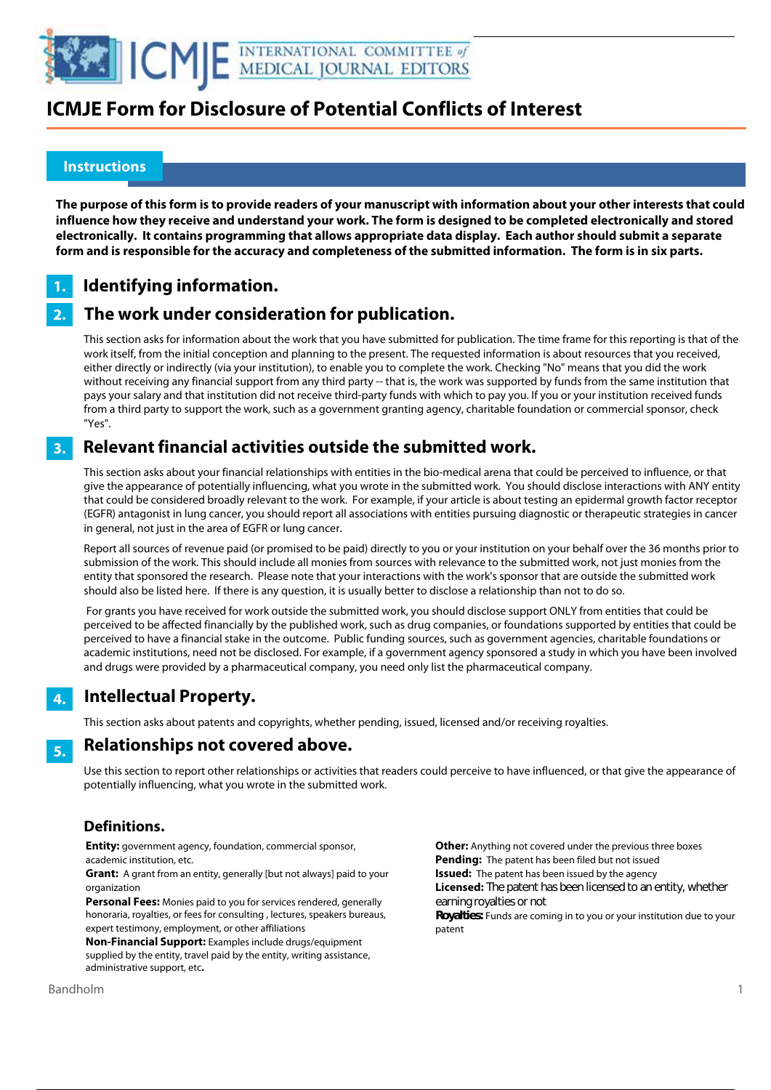

### **Instructions**

**The purpose of this form is to provide readers of your manuscript with information about your other interests that could influence how they receive and understand your work. The form is designed to be completed electronically and stored electronically. It contains programming that allows appropriate data display. Each author should submit a separate form and is responsible for the accuracy and completeness of the submitted information. The form is in six parts.** 

#### **Identifying information. 1.**

#### **The work under consideration for publication. 2.**

This section asks for information about the work that you have submitted for publication. The time frame for this reporting is that of the work itself, from the initial conception and planning to the present. The requested information is about resources that you received, either directly or indirectly (via your institution), to enable you to complete the work. Checking "No" means that you did the work without receiving any financial support from any third party -- that is, the work was supported by funds from the same institution that pays your salary and that institution did not receive third-party funds with which to pay you. If you or your institution received funds from a third party to support the work, such as a government granting agency, charitable foundation or commercial sponsor, check "Yes".

#### **Relevant financial activities outside the submitted work. 3.**

This section asks about your financial relationships with entities in the bio-medical arena that could be perceived to influence, or that give the appearance of potentially influencing, what you wrote in the submitted work. You should disclose interactions with ANY entity that could be considered broadly relevant to the work. For example, if your article is about testing an epidermal growth factor receptor (EGFR) antagonist in lung cancer, you should report all associations with entities pursuing diagnostic or therapeutic strategies in cancer in general, not just in the area of EGFR or lung cancer.

Report all sources of revenue paid (or promised to be paid) directly to you or your institution on your behalf over the 36 months prior to submission of the work. This should include all monies from sources with relevance to the submitted work, not just monies from the entity that sponsored the research. Please note that your interactions with the work's sponsor that are outside the submitted work should also be listed here. If there is any question, it is usually better to disclose a relationship than not to do so.

 For grants you have received for work outside the submitted work, you should disclose support ONLY from entities that could be perceived to be affected financially by the published work, such as drug companies, or foundations supported by entities that could be perceived to have a financial stake in the outcome. Public funding sources, such as government agencies, charitable foundations or academic institutions, need not be disclosed. For example, if a government agency sponsored a study in which you have been involved and drugs were provided by a pharmaceutical company, you need only list the pharmaceutical company.

#### **Intellectual Property. 4.**

This section asks about patents and copyrights, whether pending, issued, licensed and/or receiving royalties.

#### **Relationships not covered above. 5.**

Use this section to report other relationships or activities that readers could perceive to have influenced, or that give the appearance of potentially influencing, what you wrote in the submitted work.

### **Definitions.**

**Entity:** government agency, foundation, commercial sponsor, academic institution, etc.

**Grant:** A grant from an entity, generally [but not always] paid to your organization

**Personal Fees:** Monies paid to you for services rendered, generally honoraria, royalties, or fees for consulting , lectures, speakers bureaus, expert testimony, employment, or other affiliations

**Non-Financial Support:** Examples include drugs/equipment supplied by the entity, travel paid by the entity, writing assistance, administrative support, etc**.**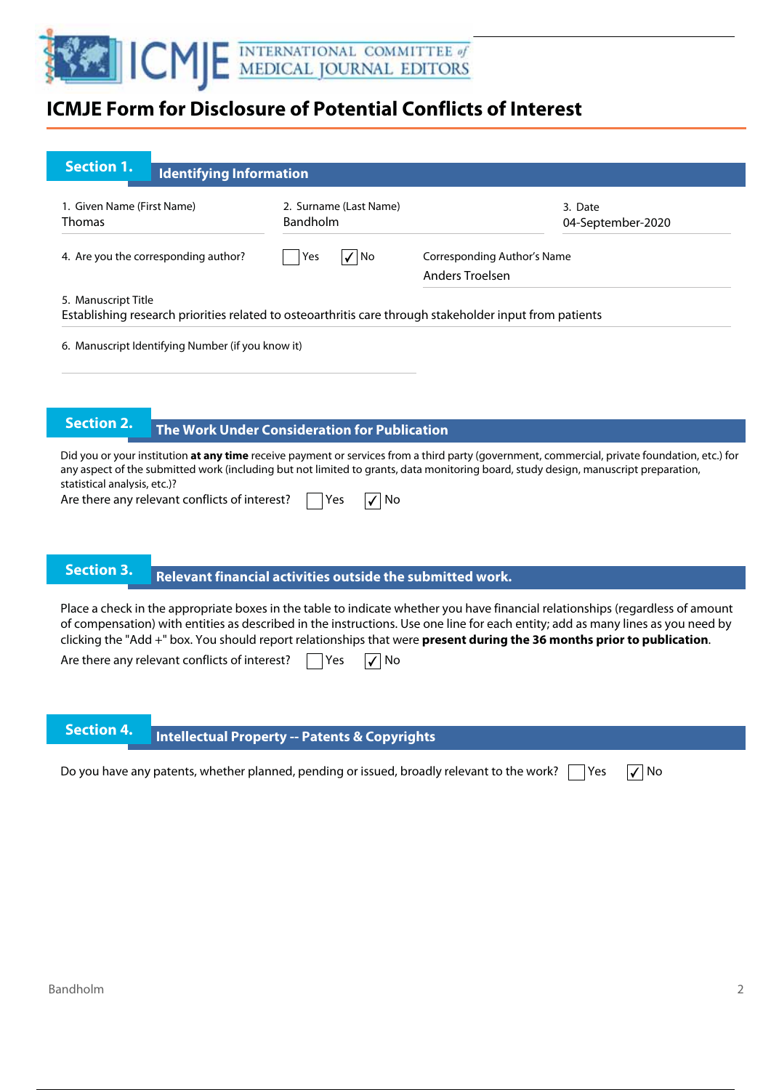

| Section 1.<br><b>Identifying Information</b>                                                                                                                                                                                                                                                                                                                                                |                                                           |                                                       |  |  |  |
|---------------------------------------------------------------------------------------------------------------------------------------------------------------------------------------------------------------------------------------------------------------------------------------------------------------------------------------------------------------------------------------------|-----------------------------------------------------------|-------------------------------------------------------|--|--|--|
| 1. Given Name (First Name)<br><b>Thomas</b>                                                                                                                                                                                                                                                                                                                                                 | 2. Surname (Last Name)<br>Bandholm                        | 3. Date<br>04-September-2020                          |  |  |  |
| 4. Are you the corresponding author?                                                                                                                                                                                                                                                                                                                                                        | No<br>Yes                                                 | Corresponding Author's Name<br><b>Anders Troelsen</b> |  |  |  |
| 5. Manuscript Title<br>Establishing research priorities related to osteoarthritis care through stakeholder input from patients                                                                                                                                                                                                                                                              |                                                           |                                                       |  |  |  |
| 6. Manuscript Identifying Number (if you know it)                                                                                                                                                                                                                                                                                                                                           |                                                           |                                                       |  |  |  |
|                                                                                                                                                                                                                                                                                                                                                                                             |                                                           |                                                       |  |  |  |
| <b>Section 2.</b>                                                                                                                                                                                                                                                                                                                                                                           | <b>The Work Under Consideration for Publication</b>       |                                                       |  |  |  |
| Did you or your institution at any time receive payment or services from a third party (government, commercial, private foundation, etc.) for<br>any aspect of the submitted work (including but not limited to grants, data monitoring board, study design, manuscript preparation,<br>statistical analysis, etc.)?                                                                        |                                                           |                                                       |  |  |  |
| Are there any relevant conflicts of interest?<br>Yes<br>No                                                                                                                                                                                                                                                                                                                                  |                                                           |                                                       |  |  |  |
|                                                                                                                                                                                                                                                                                                                                                                                             |                                                           |                                                       |  |  |  |
| <b>Section 3.</b>                                                                                                                                                                                                                                                                                                                                                                           | Relevant financial activities outside the submitted work. |                                                       |  |  |  |
| Place a check in the appropriate boxes in the table to indicate whether you have financial relationships (regardless of amount<br>of compensation) with entities as described in the instructions. Use one line for each entity; add as many lines as you need by<br>clicking the "Add +" box. You should report relationships that were present during the 36 months prior to publication. |                                                           |                                                       |  |  |  |
| Are there any relevant conflicts of interest?                                                                                                                                                                                                                                                                                                                                               | No<br>Yes                                                 |                                                       |  |  |  |
|                                                                                                                                                                                                                                                                                                                                                                                             |                                                           |                                                       |  |  |  |
| <b>Section 4.</b>                                                                                                                                                                                                                                                                                                                                                                           | <b>Intellectual Property -- Patents &amp; Copyrights</b>  |                                                       |  |  |  |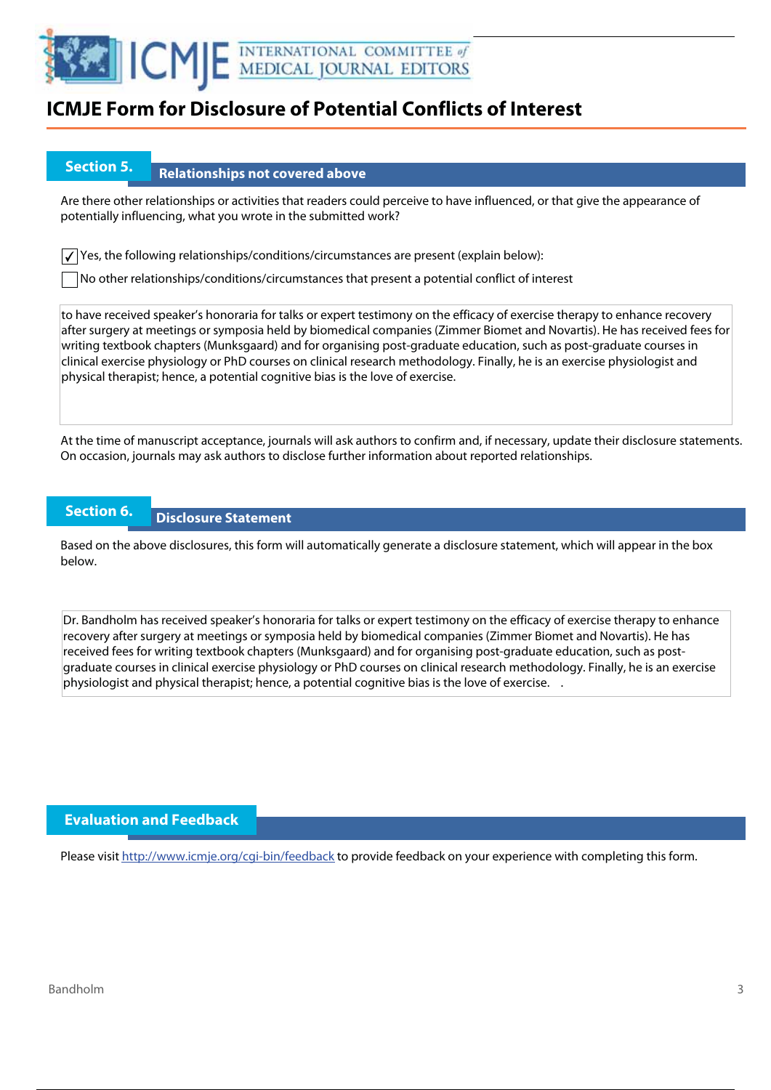

## **Section 5.** Relationships not covered above

Are there other relationships or activities that readers could perceive to have influenced, or that give the appearance of potentially influencing, what you wrote in the submitted work?

 $\sqrt{\sqrt{2}}$  Yes, the following relationships/conditions/circumstances are present (explain below):

No other relationships/conditions/circumstances that present a potential conflict of interest

to have received speaker's honoraria for talks or expert testimony on the efficacy of exercise therapy to enhance recovery after surgery at meetings or symposia held by biomedical companies (Zimmer Biomet and Novartis). He has received fees for writing textbook chapters (Munksgaard) and for organising post-graduate education, such as post-graduate courses in clinical exercise physiology or PhD courses on clinical research methodology. Finally, he is an exercise physiologist and physical therapist; hence, a potential cognitive bias is the love of exercise.

At the time of manuscript acceptance, journals will ask authors to confirm and, if necessary, update their disclosure statements. On occasion, journals may ask authors to disclose further information about reported relationships.

## **Section 6. Disclosure Statement**

Based on the above disclosures, this form will automatically generate a disclosure statement, which will appear in the box below.

Dr. Bandholm has received speaker's honoraria for talks or expert testimony on the efficacy of exercise therapy to enhance recovery after surgery at meetings or symposia held by biomedical companies (Zimmer Biomet and Novartis). He has received fees for writing textbook chapters (Munksgaard) and for organising post-graduate education, such as postgraduate courses in clinical exercise physiology or PhD courses on clinical research methodology. Finally, he is an exercise physiologist and physical therapist; hence, a potential cognitive bias is the love of exercise. .

### **Evaluation and Feedback**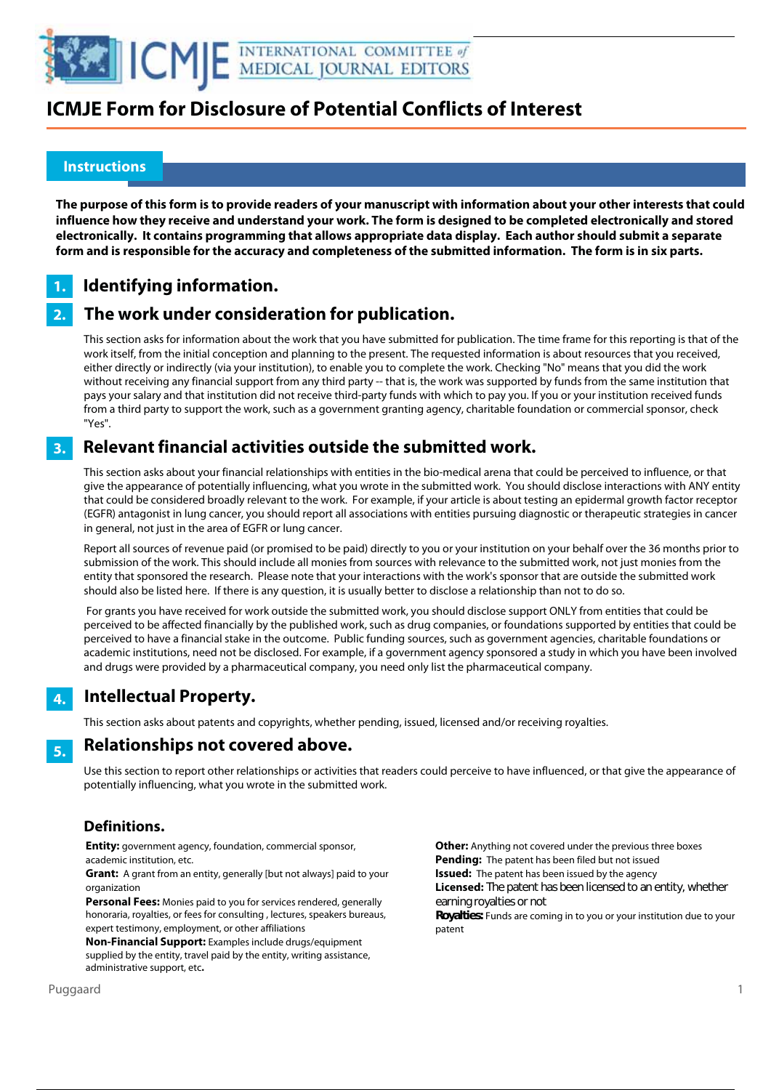

### **Instructions**

**The purpose of this form is to provide readers of your manuscript with information about your other interests that could influence how they receive and understand your work. The form is designed to be completed electronically and stored electronically. It contains programming that allows appropriate data display. Each author should submit a separate form and is responsible for the accuracy and completeness of the submitted information. The form is in six parts.** 

#### **Identifying information. 1.**

#### **The work under consideration for publication. 2.**

This section asks for information about the work that you have submitted for publication. The time frame for this reporting is that of the work itself, from the initial conception and planning to the present. The requested information is about resources that you received, either directly or indirectly (via your institution), to enable you to complete the work. Checking "No" means that you did the work without receiving any financial support from any third party -- that is, the work was supported by funds from the same institution that pays your salary and that institution did not receive third-party funds with which to pay you. If you or your institution received funds from a third party to support the work, such as a government granting agency, charitable foundation or commercial sponsor, check "Yes".

#### **Relevant financial activities outside the submitted work. 3.**

This section asks about your financial relationships with entities in the bio-medical arena that could be perceived to influence, or that give the appearance of potentially influencing, what you wrote in the submitted work. You should disclose interactions with ANY entity that could be considered broadly relevant to the work. For example, if your article is about testing an epidermal growth factor receptor (EGFR) antagonist in lung cancer, you should report all associations with entities pursuing diagnostic or therapeutic strategies in cancer in general, not just in the area of EGFR or lung cancer.

Report all sources of revenue paid (or promised to be paid) directly to you or your institution on your behalf over the 36 months prior to submission of the work. This should include all monies from sources with relevance to the submitted work, not just monies from the entity that sponsored the research. Please note that your interactions with the work's sponsor that are outside the submitted work should also be listed here. If there is any question, it is usually better to disclose a relationship than not to do so.

 For grants you have received for work outside the submitted work, you should disclose support ONLY from entities that could be perceived to be affected financially by the published work, such as drug companies, or foundations supported by entities that could be perceived to have a financial stake in the outcome. Public funding sources, such as government agencies, charitable foundations or academic institutions, need not be disclosed. For example, if a government agency sponsored a study in which you have been involved and drugs were provided by a pharmaceutical company, you need only list the pharmaceutical company.

#### **Intellectual Property. 4.**

This section asks about patents and copyrights, whether pending, issued, licensed and/or receiving royalties.

#### **Relationships not covered above. 5.**

Use this section to report other relationships or activities that readers could perceive to have influenced, or that give the appearance of potentially influencing, what you wrote in the submitted work.

### **Definitions.**

**Entity:** government agency, foundation, commercial sponsor, academic institution, etc.

**Grant:** A grant from an entity, generally [but not always] paid to your organization

**Personal Fees:** Monies paid to you for services rendered, generally honoraria, royalties, or fees for consulting , lectures, speakers bureaus, expert testimony, employment, or other affiliations

**Non-Financial Support:** Examples include drugs/equipment supplied by the entity, travel paid by the entity, writing assistance, administrative support, etc**.**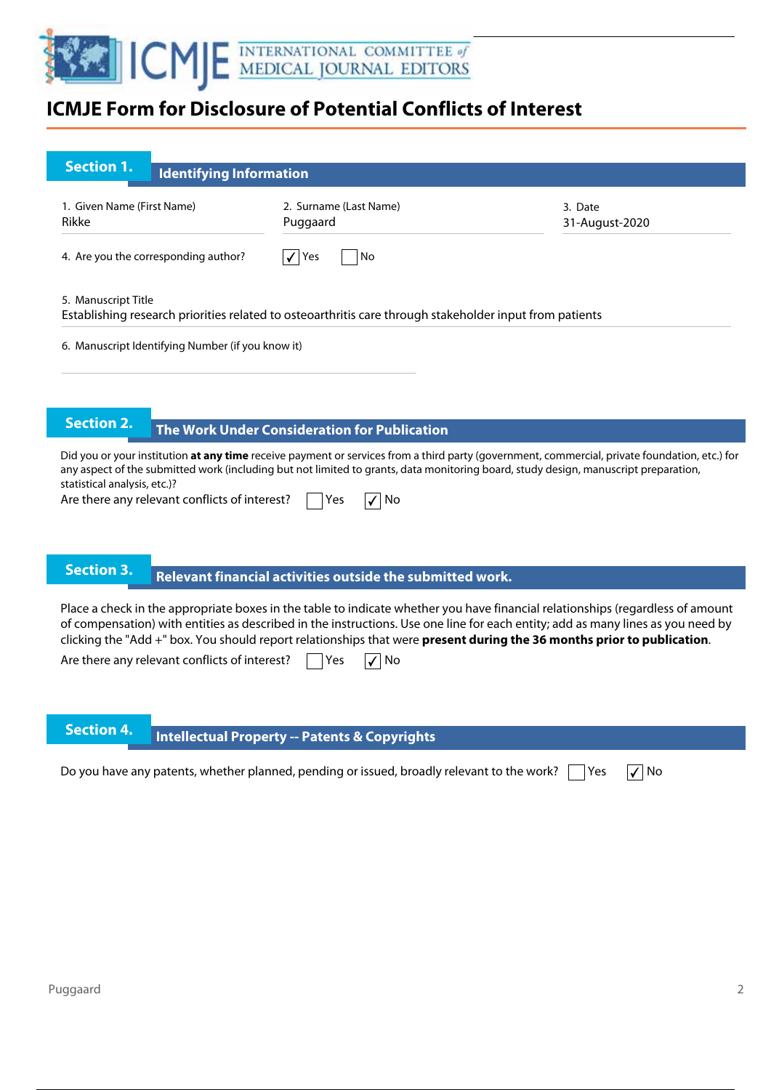

| <b>Section 1.</b><br><b>Identifying Information</b>                                                                                                                                                                                                                                                                                                                                                                                                              |                                                                                                         |                           |  |  |  |  |
|------------------------------------------------------------------------------------------------------------------------------------------------------------------------------------------------------------------------------------------------------------------------------------------------------------------------------------------------------------------------------------------------------------------------------------------------------------------|---------------------------------------------------------------------------------------------------------|---------------------------|--|--|--|--|
| 1. Given Name (First Name)<br>Rikke                                                                                                                                                                                                                                                                                                                                                                                                                              | 2. Surname (Last Name)<br>Puggaard                                                                      | 3. Date<br>31-August-2020 |  |  |  |  |
| 4. Are you the corresponding author?                                                                                                                                                                                                                                                                                                                                                                                                                             | $\sqrt{\ }$ Yes<br>No                                                                                   |                           |  |  |  |  |
| 5. Manuscript Title                                                                                                                                                                                                                                                                                                                                                                                                                                              | Establishing research priorities related to osteoarthritis care through stakeholder input from patients |                           |  |  |  |  |
| 6. Manuscript Identifying Number (if you know it)                                                                                                                                                                                                                                                                                                                                                                                                                |                                                                                                         |                           |  |  |  |  |
|                                                                                                                                                                                                                                                                                                                                                                                                                                                                  |                                                                                                         |                           |  |  |  |  |
| <b>Section 2.</b>                                                                                                                                                                                                                                                                                                                                                                                                                                                | <b>The Work Under Consideration for Publication</b>                                                     |                           |  |  |  |  |
| Did you or your institution at any time receive payment or services from a third party (government, commercial, private foundation, etc.) for<br>any aspect of the submitted work (including but not limited to grants, data monitoring board, study design, manuscript preparation,<br>statistical analysis, etc.)?<br>Are there any relevant conflicts of interest?<br>$\sqrt{ N}$<br>Yes                                                                      |                                                                                                         |                           |  |  |  |  |
|                                                                                                                                                                                                                                                                                                                                                                                                                                                                  |                                                                                                         |                           |  |  |  |  |
| <b>Section 3.</b>                                                                                                                                                                                                                                                                                                                                                                                                                                                | Relevant financial activities outside the submitted work.                                               |                           |  |  |  |  |
| Place a check in the appropriate boxes in the table to indicate whether you have financial relationships (regardless of amount<br>of compensation) with entities as described in the instructions. Use one line for each entity; add as many lines as you need by<br>clicking the "Add +" box. You should report relationships that were present during the 36 months prior to publication.<br>Are there any relevant conflicts of interest?<br>No<br><b>Yes</b> |                                                                                                         |                           |  |  |  |  |
|                                                                                                                                                                                                                                                                                                                                                                                                                                                                  |                                                                                                         |                           |  |  |  |  |
| <b>Section 4.</b>                                                                                                                                                                                                                                                                                                                                                                                                                                                | <b>Intellectual Property -- Patents &amp; Copyrights</b>                                                |                           |  |  |  |  |